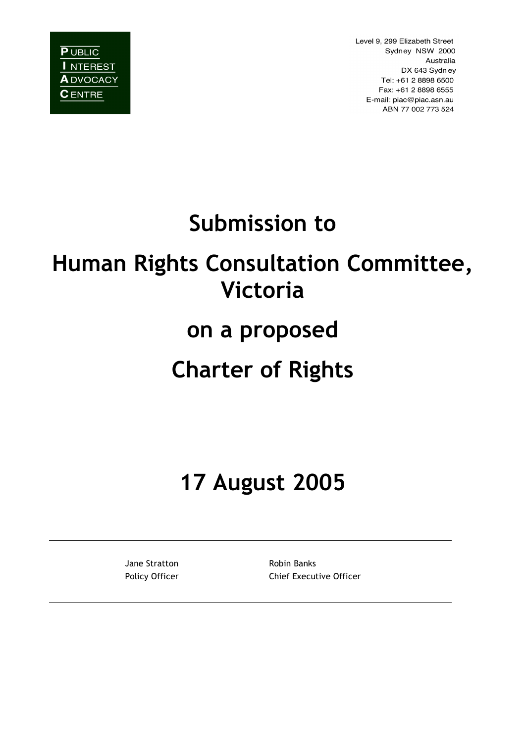**PUBLIC** I NTEREST **A** DVOCACY **C** ENTRE

Level 9, 299 Elizabeth Street Sydney NSW 2000 Australia DX 643 Sydney Tel: +61 2 8898 6500 Fax: +61 2 8898 6555 E-mail: piac@piac.asn.au ABN 77 002 773 524

# **Submission to**

# **Human Rights Consultation Committee, Victoria**

## **on a proposed**

# **Charter of Rights**

**17 August 2005**

Jane Stratton **Robin Banks** 

Policy Officer **Chief Executive Officer**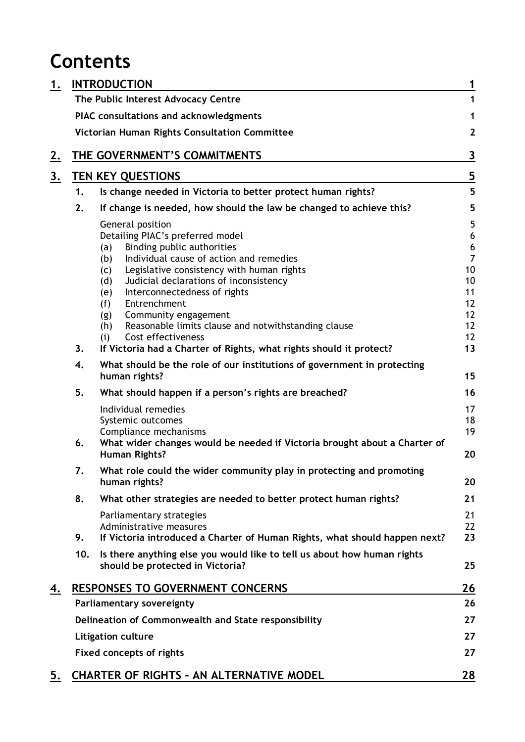## **Contents**

| 1.        | <b>INTRODUCTION</b>                                  |                                                                                                             |                              |
|-----------|------------------------------------------------------|-------------------------------------------------------------------------------------------------------------|------------------------------|
|           |                                                      | The Public Interest Advocacy Centre                                                                         | 1                            |
|           |                                                      | PIAC consultations and acknowledgments                                                                      | 1                            |
|           |                                                      | Victorian Human Rights Consultation Committee                                                               | $\mathbf{2}$                 |
| <u>z.</u> |                                                      | THE GOVERNMENT'S COMMITMENTS                                                                                | 3                            |
| <u>3.</u> | <b>TEN KEY QUESTIONS</b>                             |                                                                                                             |                              |
|           | 1.                                                   | Is change needed in Victoria to better protect human rights?                                                | $\overline{\mathbf{5}}$<br>5 |
|           | 2.                                                   | If change is needed, how should the law be changed to achieve this?                                         | 5                            |
|           |                                                      | General position                                                                                            | 5                            |
|           |                                                      | Detailing PIAC's preferred model                                                                            | 6                            |
|           |                                                      | Binding public authorities<br>(a)                                                                           | $\boldsymbol{6}$             |
|           |                                                      | Individual cause of action and remedies<br>(b)                                                              | $\overline{7}$               |
|           |                                                      | Legislative consistency with human rights<br>(c)                                                            | 10<br>10                     |
|           |                                                      | Judicial declarations of inconsistency<br>(d)<br>Interconnectedness of rights<br>(e)                        | 11                           |
|           |                                                      | Entrenchment<br>(f)                                                                                         | 12                           |
|           |                                                      | Community engagement<br>(g)                                                                                 | 12                           |
|           |                                                      | Reasonable limits clause and notwithstanding clause<br>(h)                                                  | 12                           |
|           |                                                      | Cost effectiveness<br>(i)                                                                                   | 12                           |
|           | 3.                                                   | If Victoria had a Charter of Rights, what rights should it protect?                                         | 13                           |
|           | 4.                                                   | What should be the role of our institutions of government in protecting<br>human rights?                    | 15                           |
|           | 5.                                                   | What should happen if a person's rights are breached?                                                       | 16                           |
|           |                                                      | Individual remedies                                                                                         | 17                           |
|           |                                                      | Systemic outcomes                                                                                           | 18                           |
|           |                                                      | Compliance mechanisms                                                                                       | 19                           |
|           | 6.                                                   | What wider changes would be needed if Victoria brought about a Charter of                                   |                              |
|           |                                                      | Human Rights?                                                                                               | 20                           |
|           | 7.                                                   | What role could the wider community play in protecting and promoting                                        |                              |
|           |                                                      | human rights?                                                                                               | 20                           |
|           | 8.                                                   | What other strategies are needed to better protect human rights?                                            | 21                           |
|           |                                                      | Parliamentary strategies                                                                                    | 21                           |
|           |                                                      | Administrative measures                                                                                     | 22                           |
|           | 9.                                                   | If Victoria introduced a Charter of Human Rights, what should happen next?                                  | 23                           |
|           | 10.                                                  | Is there anything else you would like to tell us about how human rights<br>should be protected in Victoria? | 25                           |
| 4.        |                                                      | <b>RESPONSES TO GOVERNMENT CONCERNS</b>                                                                     | 26                           |
|           |                                                      | <b>Parliamentary sovereignty</b>                                                                            | 26                           |
|           | Delineation of Commonwealth and State responsibility |                                                                                                             |                              |
|           | Litigation culture                                   |                                                                                                             |                              |
|           | <b>Fixed concepts of rights</b>                      |                                                                                                             |                              |
| 5.        |                                                      | <b>CHARTER OF RIGHTS - AN ALTERNATIVE MODEL</b>                                                             | 28                           |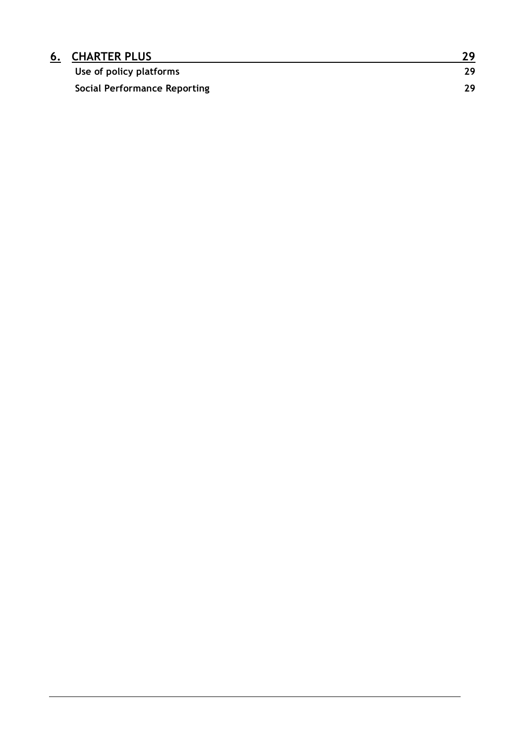| <b>6. CHARTER PLUS</b>              | າດ  |
|-------------------------------------|-----|
| Use of policy platforms             | 29  |
| <b>Social Performance Reporting</b> | 29. |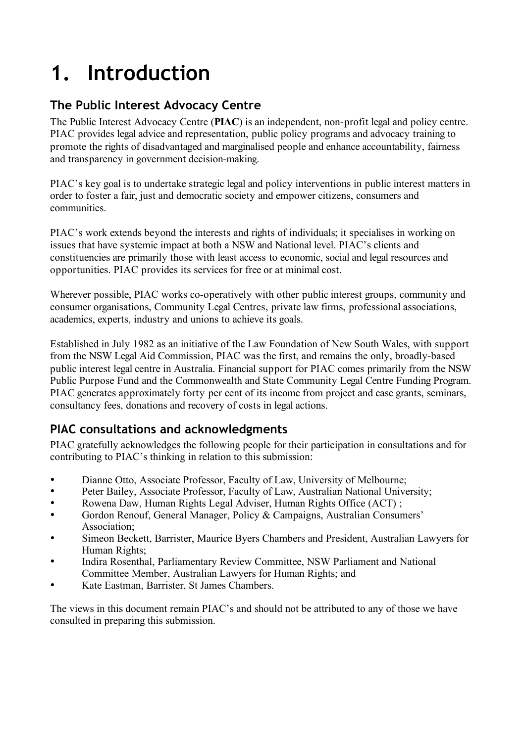# **1. Introduction**

## **The Public Interest Advocacy Centre**

The Public Interest Advocacy Centre (**PIAC**) is an independent, non-profit legal and policy centre. PIAC provides legal advice and representation, public policy programs and advocacy training to promote the rights of disadvantaged and marginalised people and enhance accountability, fairness and transparency in government decision-making.

PIAC's key goal is to undertake strategic legal and policy interventions in public interest matters in order to foster a fair, just and democratic society and empower citizens, consumers and communities.

PIAC's work extends beyond the interests and rights of individuals; it specialises in working on issues that have systemic impact at both a NSW and National level. PIAC's clients and constituencies are primarily those with least access to economic, social and legal resources and opportunities. PIAC provides its services for free or at minimal cost.

Wherever possible, PIAC works co-operatively with other public interest groups, community and consumer organisations, Community Legal Centres, private law firms, professional associations, academics, experts, industry and unions to achieve its goals.

Established in July 1982 as an initiative of the Law Foundation of New South Wales, with support from the NSW Legal Aid Commission, PIAC was the first, and remains the only, broadly-based public interest legal centre in Australia. Financial support for PIAC comes primarily from the NSW Public Purpose Fund and the Commonwealth and State Community Legal Centre Funding Program. PIAC generates approximately forty per cent of its income from project and case grants, seminars, consultancy fees, donations and recovery of costs in legal actions.

### **PIAC consultations and acknowledgments**

PIAC gratefully acknowledges the following people for their participation in consultations and for contributing to PIAC's thinking in relation to this submission:

- Dianne Otto, Associate Professor, Faculty of Law, University of Melbourne;<br>  **Pater Bailov, Associate Professor, Faculty of Law, Australian Metional University**
- Peter Bailey, Associate Professor, Faculty of Law, Australian National University;<br>• Rowena Daw, Human Rights Legal Adviser, Human Rights Office (ACT)
- Rowena Daw, Human Rights Legal Adviser, Human Rights Office (ACT) ;
- Gordon Renouf, General Manager, Policy & Campaigns, Australian Consumers' Association;
- Simeon Beckett, Barrister, Maurice Byers Chambers and President, Australian Lawyers for Human Rights;
- Indira Rosenthal, Parliamentary Review Committee, NSW Parliament and National Committee Member, Australian Lawyers for Human Rights; and
- Kate Eastman, Barrister, St James Chambers.

The views in this document remain PIAC's and should not be attributed to any of those we have consulted in preparing this submission.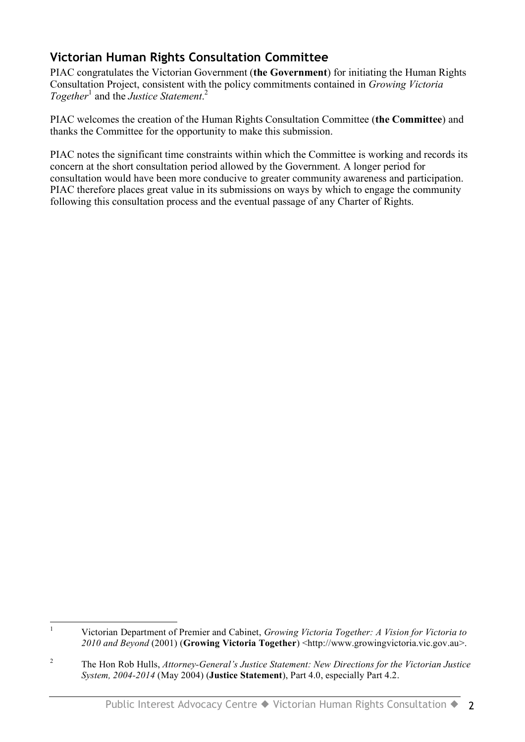## **Victorian Human Rights Consultation Committee**

PIAC congratulates the Victorian Government (**the Government**) for initiating the Human Rights Consultation Project, consistent with the policy commitments contained in *Growing Victoria Together* <sup>1</sup> and the *Justice Statement*. 2

PIAC welcomes the creation of the Human Rights Consultation Committee (**the Committee**) and thanks the Committee for the opportunity to make this submission.

PIAC notes the significant time constraints within which the Committee is working and records its concern at the short consultation period allowed by the Government. A longer period for consultation would have been more conducive to greater community awareness and participation. PIAC therefore places great value in its submissions on ways by which to engage the community following this consultation process and the eventual passage of any Charter of Rights.

 <sup>1</sup> Victorian Department of Premier and Cabinet, *Growing Victoria Together: A Vision for Victoria to 2010 and Beyond* (2001) (**Growing Victoria Together**) <http://www.growingvictoria.vic.gov.au>.

<sup>2</sup> The Hon Rob Hulls, *Attorney-General's Justice Statement: New Directions for the Victorian Justice System, 2004-2014* (May 2004) (**Justice Statement**), Part 4.0, especially Part 4.2.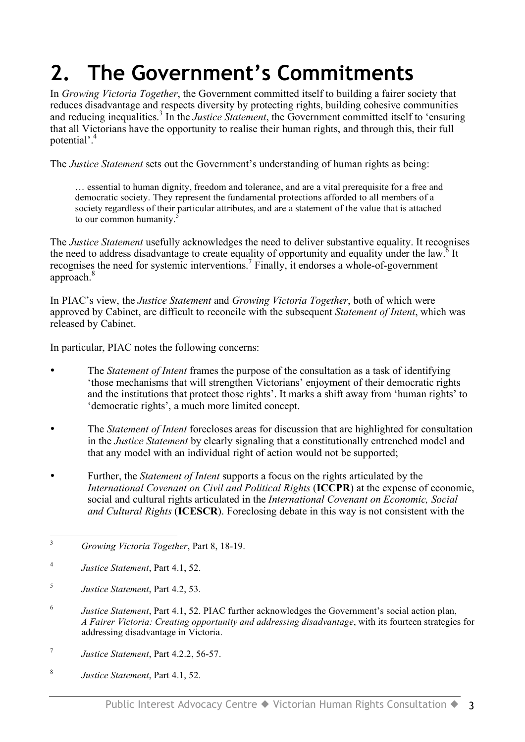# **2. The Government's Commitments**

In *Growing Victoria Together*, the Government committed itself to building a fairer society that reduces disadvantage and respects diversity by protecting rights, building cohesive communities and reducing inequalities. <sup>3</sup> In the *Justice Statement*, the Government committed itself to 'ensuring that all Victorians have the opportunity to realise their human rights, and through this, their full potential'. 4

The *Justice Statement* sets out the Government's understanding of human rights as being:

… essential to human dignity, freedom and tolerance, and are a vital prerequisite for a free and democratic society. They represent the fundamental protections afforded to all members of a society regardless of their particular attributes, and are a statement of the value that is attached to our common humanity. 5

The *Justice Statement* usefully acknowledges the need to deliver substantive equality. It recognises the need to address disadvantage to create equality of opportunity and equality under the law.<sup>6</sup> It recognises the need for systemic interventions. <sup>7</sup> Finally, it endorses a whole-of-government approach.<sup>8</sup>

In PIAC's view, the *Justice Statement* and *Growing Victoria Together*, both of which were approved by Cabinet, are difficult to reconcile with the subsequent *Statement of Intent*, which was released by Cabinet.

In particular, PIAC notes the following concerns:

- The *Statement of Intent* frames the purpose of the consultation as a task of identifying 'those mechanisms that will strengthen Victorians' enjoyment of their democratic rights and the institutions that protect those rights'. It marks a shift away from 'human rights' to 'democratic rights', a much more limited concept.
- The *Statement of Intent* forecloses areas for discussion that are highlighted for consultation in the *Justice Statement* by clearly signaling that a constitutionally entrenched model and that any model with an individual right of action would not be supported;
- Further, the *Statement of Intent* supports a focus on the rights articulated by the *International Covenant on Civil and Political Rights* (**ICCPR**) at the expense of economic, social and cultural rights articulated in the *International Covenant on Economic, Social and Cultural Rights* (**ICESCR**). Foreclosing debate in this way is not consistent with the

- <sup>6</sup> *Justice Statement*, Part 4.1, 52. PIAC further acknowledges the Government's social action plan, *A Fairer Victoria: Creating opportunity and addressing disadvantage*, with its fourteen strategies for addressing disadvantage in Victoria.
- <sup>7</sup> *Justice Statement*, Part 4.2.2, 56-57.
- <sup>8</sup> *Justice Statement*, Part 4.1, 52.

 <sup>3</sup> *Growing Victoria Together*, Part 8, 18-19.

<sup>4</sup> *Justice Statement*, Part 4.1, 52.

<sup>5</sup> *Justice Statement*, Part 4.2, 53.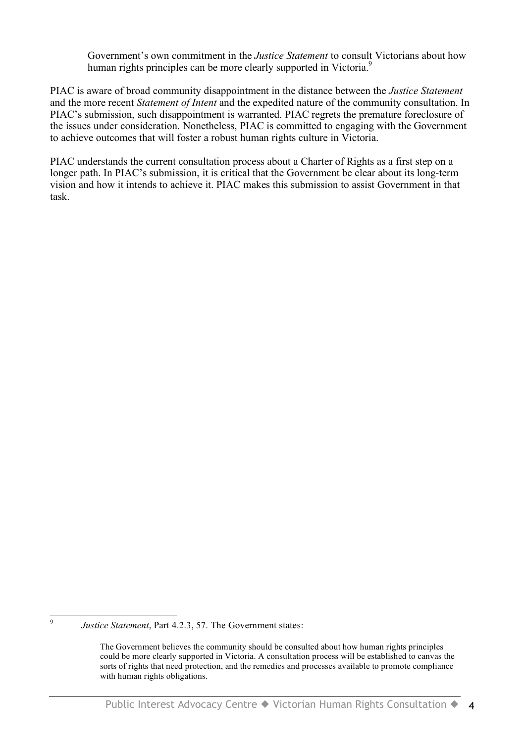Government's own commitment in the *Justice Statement* to consult Victorians about how human rights principles can be more clearly supported in Victoria.<sup>9</sup>

PIAC is aware of broad community disappointment in the distance between the *Justice Statement* and the more recent *Statement of Intent* and the expedited nature of the community consultation. In PIAC's submission, such disappointment is warranted. PIAC regrets the premature foreclosure of the issues under consideration. Nonetheless, PIAC is committed to engaging with the Government to achieve outcomes that will foster a robust human rights culture in Victoria.

PIAC understands the current consultation process about a Charter of Rights as a first step on a longer path. In PIAC's submission, it is critical that the Government be clear about its long-term vision and how it intends to achieve it. PIAC makes this submission to assist Government in that task.

 <sup>9</sup> *Justice Statement*, Part 4.2.3, 57. The Government states:

The Government believes the community should be consulted about how human rights principles could be more clearly supported in Victoria. A consultation process will be established to canvas the sorts of rights that need protection, and the remedies and processes available to promote compliance with human rights obligations.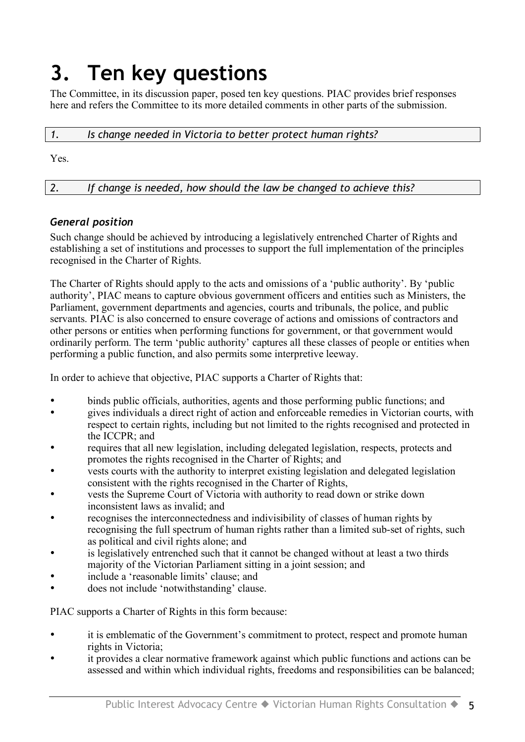## **3. Ten key questions**

The Committee, in its discussion paper, posed ten key questions. PIAC provides brief responses here and refers the Committee to its more detailed comments in other parts of the submission.

| Is change needed in Victoria to better protect human rights? |
|--------------------------------------------------------------|
|                                                              |

Yes.

*2. If change is needed, how should the law be changed to achieve this?*

#### *General position*

Such change should be achieved by introducing a legislatively entrenched Charter of Rights and establishing a set of institutions and processes to support the full implementation of the principles recognised in the Charter of Rights.

The Charter of Rights should apply to the acts and omissions of a 'public authority'. By 'public authority', PIAC means to capture obvious government officers and entities such as Ministers, the Parliament, government departments and agencies, courts and tribunals, the police, and public servants. PIAC is also concerned to ensure coverage of actions and omissions of contractors and other persons or entities when performing functions for government, or that government would ordinarily perform. The term 'public authority' captures all these classes of people or entities when performing a public function, and also permits some interpretive leeway.

In order to achieve that objective, PIAC supports a Charter of Rights that:

- binds public officials, authorities, agents and those performing public functions; and
- gives individuals a direct right of action and enforceable remedies in Victorian courts, with respect to certain rights, including but not limited to the rights recognised and protected in the ICCPR; and
- requires that all new legislation, including delegated legislation, respects, protects and promotes the rights recognised in the Charter of Rights; and
- vests courts with the authority to interpret existing legislation and delegated legislation consistent with the rights recognised in the Charter of Rights,
- vests the Supreme Court of Victoria with authority to read down or strike down inconsistent laws as invalid; and
- recognises the interconnectedness and indivisibility of classes of human rights by recognising the full spectrum of human rights rather than a limited sub-set of rights, such as political and civil rights alone; and
- is legislatively entrenched such that it cannot be changed without at least a two thirds majority of the Victorian Parliament sitting in a joint session; and
- include a 'reasonable limits' clause; and
- does not include 'notwithstanding' clause.

PIAC supports a Charter of Rights in this form because:

- it is emblematic of the Government's commitment to protect, respect and promote human rights in Victoria;
- it provides a clear normative framework against which public functions and actions can be assessed and within which individual rights, freedoms and responsibilities can be balanced;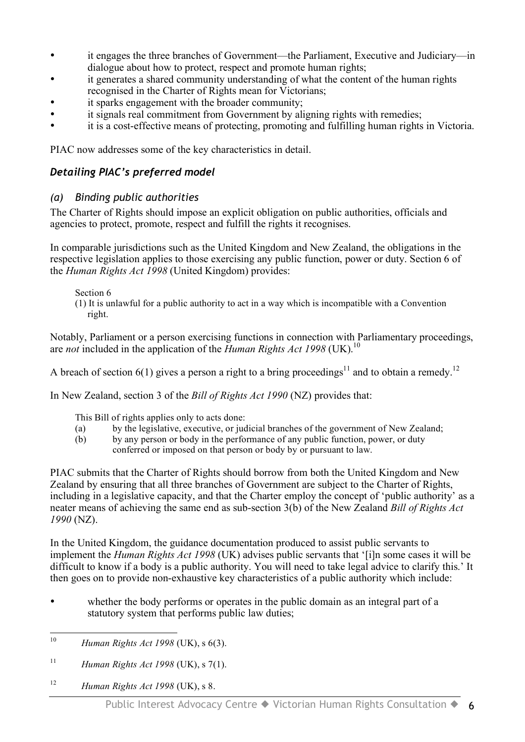- it engages the three branches of Government—the Parliament, Executive and Judiciary—in dialogue about how to protect, respect and promote human rights;
- it generates a shared community understanding of what the content of the human rights recognised in the Charter of Rights mean for Victorians;
- it sparks engagement with the broader community;
- it signals real commitment from Government by aligning rights with remedies;
- it is a cost-effective means of protecting, promoting and fulfilling human rights in Victoria.

PIAC now addresses some of the key characteristics in detail.

#### *Detailing PIAC's preferred model*

#### *(a) Binding public authorities*

The Charter of Rights should impose an explicit obligation on public authorities, officials and agencies to protect, promote, respect and fulfill the rights it recognises.

In comparable jurisdictions such as the United Kingdom and New Zealand, the obligations in the respective legislation applies to those exercising any public function, power or duty. Section 6 of the *Human Rights Act 1998* (United Kingdom) provides:

Section 6

(1) It is unlawful for a public authority to act in a way which is incompatible with a Convention right.

Notably, Parliament or a person exercising functions in connection with Parliamentary proceedings, are *not* included in the application of the *Human Rights Act 1998* (UK). 10

A breach of section 6(1) gives a person a right to a bring proceedings<sup>11</sup> and to obtain a remedy.<sup>12</sup>

In New Zealand, section 3 of the *Bill of Rights Act 1990* (NZ) provides that:

This Bill of rights applies only to acts done:

- (a) by the legislative, executive, or judicial branches of the government of New Zealand;
- (b) by any person or body in the performance of any public function, power, or duty conferred or imposed on that person or body by or pursuant to law.

PIAC submits that the Charter of Rights should borrow from both the United Kingdom and New Zealand by ensuring that all three branches of Government are subject to the Charter of Rights, including in a legislative capacity, and that the Charter employ the concept of 'public authority' as a neater means of achieving the same end as sub-section 3(b) of the New Zealand *Bill of Rights Act 1990* (NZ).

In the United Kingdom, the guidance documentation produced to assist public servants to implement the *Human Rights Act 1998* (UK) advises public servants that '[i]n some cases it will be difficult to know if a body is a public authority. You will need to take legal advice to clarify this.' It then goes on to provide non-exhaustive key characteristics of a public authority which include:

• whether the body performs or operates in the public domain as an integral part of a statutory system that performs public law duties;

<sup>12</sup> *Human Rights Act 1998* (UK), s 8.

 <sup>10</sup> *Human Rights Act <sup>1998</sup>* (UK), <sup>s</sup> 6(3).

<sup>11</sup> *Human Rights Act 1998* (UK), s 7(1).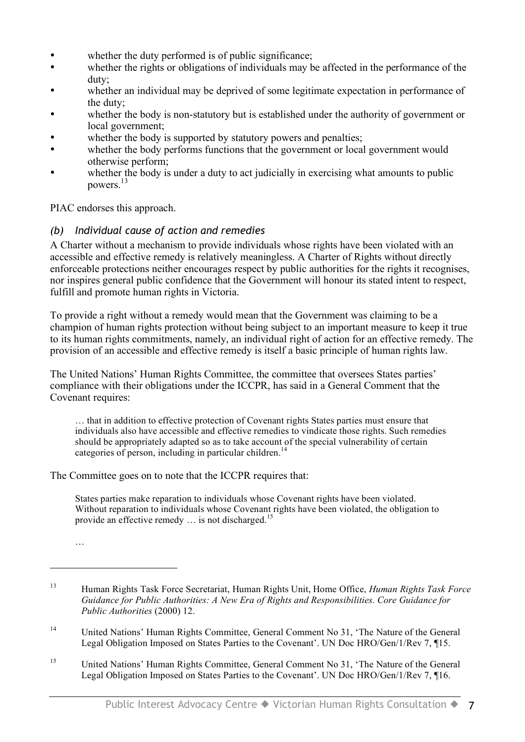- whether the duty performed is of public significance;
- whether the rights or obligations of individuals may be affected in the performance of the duty;
- whether an individual may be deprived of some legitimate expectation in performance of the duty;
- whether the body is non-statutory but is established under the authority of government or local government;
- whether the body is supported by statutory powers and penalties;
- whether the body performs functions that the government or local government would otherwise perform;
- whether the body is under a duty to act judicially in exercising what amounts to public powers. 13

PIAC endorses this approach.

#### *(b) Individual cause of action and remedies*

A Charter without a mechanism to provide individuals whose rights have been violated with an accessible and effective remedy is relatively meaningless. A Charter of Rights without directly enforceable protections neither encourages respect by public authorities for the rights it recognises, nor inspires general public confidence that the Government will honour its stated intent to respect, fulfill and promote human rights in Victoria.

To provide a right without a remedy would mean that the Government was claiming to be a champion of human rights protection without being subject to an important measure to keep it true to its human rights commitments, namely, an individual right of action for an effective remedy. The provision of an accessible and effective remedy is itself a basic principle of human rights law.

The United Nations' Human Rights Committee, the committee that oversees States parties' compliance with their obligations under the ICCPR, has said in a General Comment that the Covenant requires:

… that in addition to effective protection of Covenant rights States parties must ensure that individuals also have accessible and effective remedies to vindicate those rights. Such remedies should be appropriately adapted so as to take account of the special vulnerability of certain categories of person, including in particular children.<sup>14</sup>

The Committee goes on to note that the ICCPR requires that:

States parties make reparation to individuals whose Covenant rights have been violated. Without reparation to individuals whose Covenant rights have been violated, the obligation to provide an effective remedy ... is not discharged.<sup>15</sup>

…

 $\overline{a}$ 

- <sup>14</sup> United Nations' Human Rights Committee, General Comment No 31, 'The Nature of the General Legal Obligation Imposed on States Parties to the Covenant'. UN Doc HRO/Gen/1/Rev 7, ¶15.
- <sup>15</sup> United Nations' Human Rights Committee, General Comment No 31, 'The Nature of the General Legal Obligation Imposed on States Parties to the Covenant'. UN Doc HRO/Gen/1/Rev 7, ¶16.

<sup>13</sup> Human Rights Task Force Secretariat, Human Rights Unit, Home Office, *Human Rights Task Force Guidance for Public Authorities: A New Era of Rights and Responsibilities. Core Guidance for Public Authorities* (2000) 12.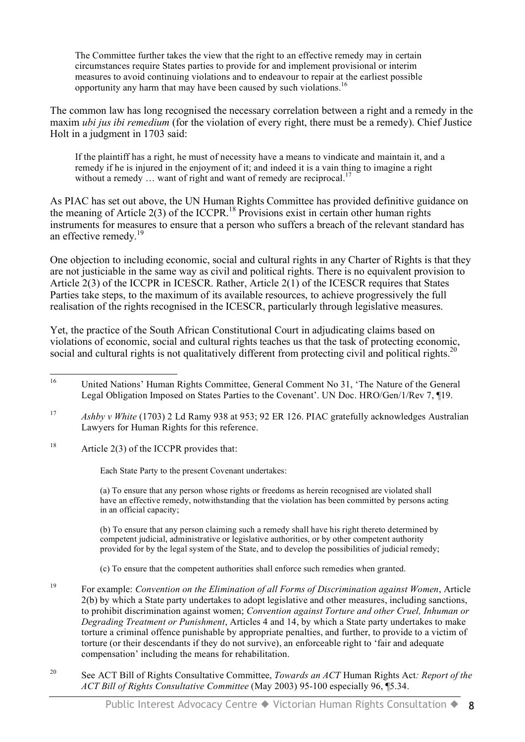The Committee further takes the view that the right to an effective remedy may in certain circumstances require States parties to provide for and implement provisional or interim measures to avoid continuing violations and to endeavour to repair at the earliest possible opportunity any harm that may have been caused by such violations.<sup>16</sup>

The common law has long recognised the necessary correlation between a right and a remedy in the maxim *ubi jus ibi remedium* (for the violation of every right, there must be a remedy). Chief Justice Holt in a judgment in 1703 said:

If the plaintiff has a right, he must of necessity have a means to vindicate and maintain it, and a remedy if he is injured in the enjoyment of it; and indeed it is a vain thing to imagine a right without a remedy ... want of right and want of remedy are reciprocal.<sup>17</sup>

As PIAC has set out above, the UN Human Rights Committee has provided definitive guidance on the meaning of Article  $2(3)$  of the ICCPR.<sup>18</sup> Provisions exist in certain other human rights instruments for measures to ensure that a person who suffers a breach of the relevant standard has an effective remedy.<sup>19</sup>

One objection to including economic, social and cultural rights in any Charter of Rights is that they are not justiciable in the same way as civil and political rights. There is no equivalent provision to Article 2(3) of the ICCPR in ICESCR. Rather, Article 2(1) of the ICESCR requires that States Parties take steps, to the maximum of its available resources, to achieve progressively the full realisation of the rights recognised in the ICESCR, particularly through legislative measures.

Yet, the practice of the South African Constitutional Court in adjudicating claims based on violations of economic, social and cultural rights teaches us that the task of protecting economic, social and cultural rights is not qualitatively different from protecting civil and political rights.<sup>20</sup>

<sup>18</sup> Article 2(3) of the ICCPR provides that:

Each State Party to the present Covenant undertakes:

(a) To ensure that any person whose rights or freedoms as herein recognised are violated shall have an effective remedy, notwithstanding that the violation has been committed by persons acting in an official capacity;

(b) To ensure that any person claiming such a remedy shall have his right thereto determined by competent judicial, administrative or legislative authorities, or by other competent authority provided for by the legal system of the State, and to develop the possibilities of judicial remedy;

- (c) To ensure that the competent authorities shall enforce such remedies when granted.
- <sup>19</sup> For example: *Convention on the Elimination of all Forms of Discrimination against Women*, Article 2(b) by which a State party undertakes to adopt legislative and other measures, including sanctions, to prohibit discrimination against women; *Convention against Torture and other Cruel, Inhuman or Degrading Treatment or Punishment*, Articles 4 and 14, by which a State party undertakes to make torture a criminal offence punishable by appropriate penalties, and further, to provide to a victim of torture (or their descendants if they do not survive), an enforceable right to 'fair and adequate compensation' including the means for rehabilitation.
- <sup>20</sup> See ACT Bill of Rights Consultative Committee, *Towards an ACT* Human Rights Act*: Report of the ACT Bill of Rights Consultative Committee* (May 2003) 95-100 especially 96, ¶5.34.

<sup>&</sup>lt;sup>16</sup> United Nations' Human Rights Committee, General Comment No 31, 'The Nature of the General Legal Obligation Imposed on States Parties to the Covenant'. UN Doc. HRO/Gen/1/Rev 7, ¶19.

<sup>17</sup> *Ashby v White* (1703) 2 Ld Ramy 938 at 953; 92 ER 126. PIAC gratefully acknowledges Australian Lawyers for Human Rights for this reference.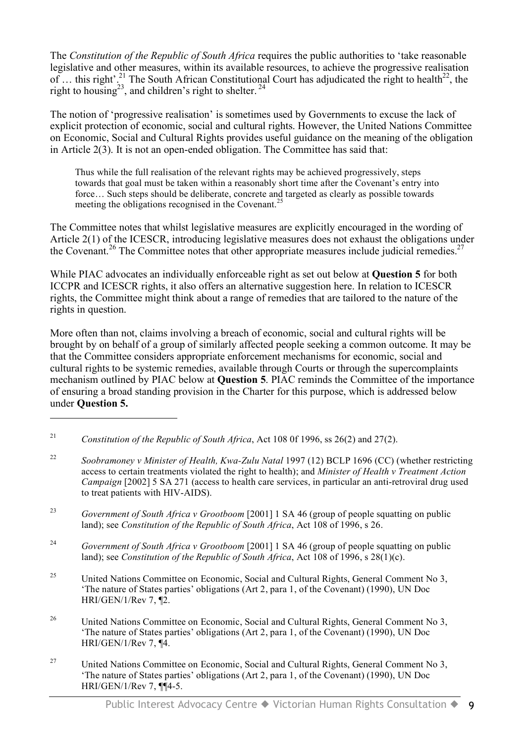The *Constitution of the Republic of South Africa* requires the public authorities to 'take reasonable legislative and other measures, within its available resources, to achieve the progressive realisation of ... this right'.<sup>21</sup> The South African Constitutional Court has adjudicated the right to health<sup>22</sup>, the right to housing<sup>23</sup>, and children's right to shelter.<sup>24</sup>

The notion of 'progressive realisation' is sometimes used by Governments to excuse the lack of explicit protection of economic, social and cultural rights. However, the United Nations Committee on Economic, Social and Cultural Rights provides useful guidance on the meaning of the obligation in Article 2(3). It is not an open-ended obligation. The Committee has said that:

Thus while the full realisation of the relevant rights may be achieved progressively, steps towards that goal must be taken within a reasonably short time after the Covenant's entry into force... Such steps should be deliberate, concrete and targeted as clearly as possible towards meeting the obligations recognised in the Covenant.<sup>25</sup>

The Committee notes that whilst legislative measures are explicitly encouraged in the wording of Article 2(1) of the ICESCR, introducing legislative measures does not exhaust the obligations under the Covenant.<sup>26</sup> The Committee notes that other appropriate measures include judicial remedies.<sup>27</sup>

While PIAC advocates an individually enforceable right as set out below at **Question 5** for both ICCPR and ICESCR rights, it also offers an alternative suggestion here. In relation to ICESCR rights, the Committee might think about a range of remedies that are tailored to the nature of the rights in question.

More often than not, claims involving a breach of economic, social and cultural rights will be brought by on behalf of a group of similarly affected people seeking a common outcome. It may be that the Committee considers appropriate enforcement mechanisms for economic, social and cultural rights to be systemic remedies, available through Courts or through the supercomplaints mechanism outlined by PIAC below at **Question 5**. PIAC reminds the Committee of the importance of ensuring a broad standing provision in the Charter for this purpose, which is addressed below under **Question 5.**

 $\overline{a}$ 

- <sup>23</sup> *Government of South Africa v Grootboom* [2001] 1 SA 46 (group of people squatting on public land); see *Constitution of the Republic of South Africa*, Act 108 of 1996, s 26.
- <sup>24</sup> *Government of South Africa v Grootboom* [2001] 1 SA 46 (group of people squatting on public land); see *Constitution of the Republic of South Africa*, Act 108 of 1996, s 28(1)(c).
- <sup>25</sup> United Nations Committee on Economic, Social and Cultural Rights, General Comment No 3, 'The nature of States parties' obligations (Art 2, para 1, of the Covenant) (1990), UN Doc HRI/GEN/1/Rev 7, ¶2.
- <sup>26</sup> United Nations Committee on Economic, Social and Cultural Rights, General Comment No 3, 'The nature of States parties' obligations (Art 2, para 1, of the Covenant) (1990), UN Doc HRI/GEN/1/Rev 7, ¶4.
- <sup>27</sup> United Nations Committee on Economic, Social and Cultural Rights, General Comment No 3, 'The nature of States parties' obligations (Art 2, para 1, of the Covenant) (1990), UN Doc HRI/GEN/1/Rev 7, ¶¶4-5.

<sup>21</sup> *Constitution of the Republic of South Africa*, Act 108 0f 1996, ss 26(2) and 27(2).

<sup>22</sup> *Soobramoney v Minister of Health, Kwa-Zulu Natal* 1997 (12) BCLP 1696 (CC) (whether restricting access to certain treatments violated the right to health); and *Minister of Health v Treatment Action Campaign* [2002] 5 SA 271 (access to health care services, in particular an anti-retroviral drug used to treat patients with HIV-AIDS).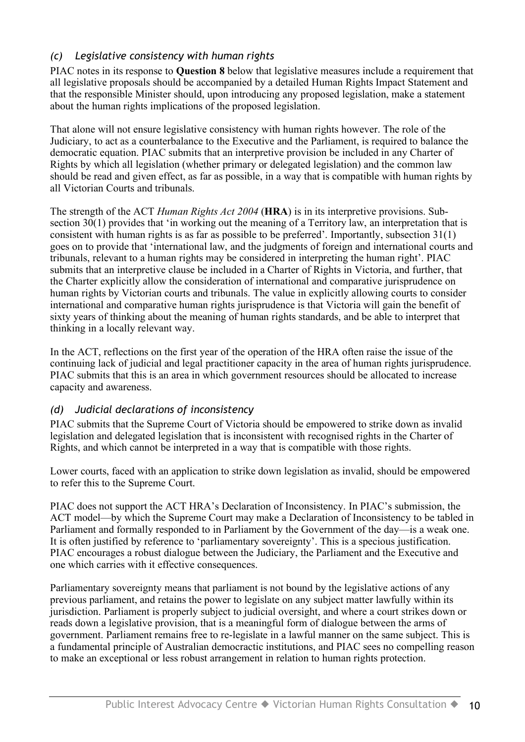#### *(c) Legislative consistency with human rights*

PIAC notes in its response to **Question 8** below that legislative measures include a requirement that all legislative proposals should be accompanied by a detailed Human Rights Impact Statement and that the responsible Minister should, upon introducing any proposed legislation, make a statement about the human rights implications of the proposed legislation.

That alone will not ensure legislative consistency with human rights however. The role of the Judiciary, to act as a counterbalance to the Executive and the Parliament, is required to balance the democratic equation. PIAC submits that an interpretive provision be included in any Charter of Rights by which all legislation (whether primary or delegated legislation) and the common law should be read and given effect, as far as possible, in a way that is compatible with human rights by all Victorian Courts and tribunals.

The strength of the ACT *Human Rights Act 2004* (**HRA**) is in its interpretive provisions. Subsection 30(1) provides that 'in working out the meaning of a Territory law, an interpretation that is consistent with human rights is as far as possible to be preferred'. Importantly, subsection 31(1) goes on to provide that 'international law, and the judgments of foreign and international courts and tribunals, relevant to a human rights may be considered in interpreting the human right'. PIAC submits that an interpretive clause be included in a Charter of Rights in Victoria, and further, that the Charter explicitly allow the consideration of international and comparative jurisprudence on human rights by Victorian courts and tribunals. The value in explicitly allowing courts to consider international and comparative human rights jurisprudence is that Victoria will gain the benefit of sixty years of thinking about the meaning of human rights standards, and be able to interpret that thinking in a locally relevant way.

In the ACT, reflections on the first year of the operation of the HRA often raise the issue of the continuing lack of judicial and legal practitioner capacity in the area of human rights jurisprudence. PIAC submits that this is an area in which government resources should be allocated to increase capacity and awareness.

#### *(d) Judicial declarations of inconsistency*

PIAC submits that the Supreme Court of Victoria should be empowered to strike down as invalid legislation and delegated legislation that is inconsistent with recognised rights in the Charter of Rights, and which cannot be interpreted in a way that is compatible with those rights.

Lower courts, faced with an application to strike down legislation as invalid, should be empowered to refer this to the Supreme Court.

PIAC does not support the ACT HRA's Declaration of Inconsistency. In PIAC's submission, the ACT model—by which the Supreme Court may make a Declaration of Inconsistency to be tabled in Parliament and formally responded to in Parliament by the Government of the day—is a weak one. It is often justified by reference to 'parliamentary sovereignty'. This is a specious justification. PIAC encourages a robust dialogue between the Judiciary, the Parliament and the Executive and one which carries with it effective consequences.

Parliamentary sovereignty means that parliament is not bound by the legislative actions of any previous parliament, and retains the power to legislate on any subject matter lawfully within its jurisdiction. Parliament is properly subject to judicial oversight, and where a court strikes down or reads down a legislative provision, that is a meaningful form of dialogue between the arms of government. Parliament remains free to re-legislate in a lawful manner on the same subject. This is a fundamental principle of Australian democractic institutions, and PIAC sees no compelling reason to make an exceptional or less robust arrangement in relation to human rights protection.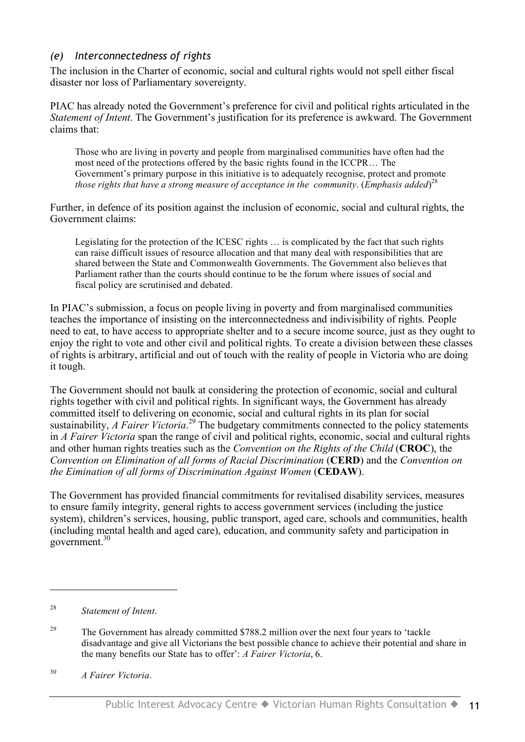#### *(e) Interconnectedness of rights*

The inclusion in the Charter of economic, social and cultural rights would not spell either fiscal disaster nor loss of Parliamentary sovereignty.

PIAC has already noted the Government's preference for civil and political rights articulated in the *Statement of Intent*. The Government's justification for its preference is awkward. The Government claims that:

Those who are living in poverty and people from marginalised communities have often had the most need of the protections offered by the basic rights found in the ICCPR… The Government's primary purpose in this initiative is to adequately recognise, protect and promote *those rights that have a strong measure of acceptance in the community*. (*Emphasis added*) 28

Further, in defence of its position against the inclusion of economic, social and cultural rights, the Government claims:

Legislating for the protection of the ICESC rights … is complicated by the fact that such rights can raise difficult issues of resource allocation and that many deal with responsibilities that are shared between the State and Commonwealth Governments. The Government also believes that Parliament rather than the courts should continue to be the forum where issues of social and fiscal policy are scrutinised and debated.

In PIAC's submission, a focus on people living in poverty and from marginalised communities teaches the importance of insisting on the interconnectedness and indivisibility of rights. People need to eat, to have access to appropriate shelter and to a secure income source, just as they ought to enjoy the right to vote and other civil and political rights. To create a division between these classes of rights is arbitrary, artificial and out of touch with the reality of people in Victoria who are doing it tough.

The Government should not baulk at considering the protection of economic, social and cultural rights together with civil and political rights. In significant ways, the Government has already committed itself to delivering on economic, social and cultural rights in its plan for social sustainability, *A Fairer Victoria*. <sup>29</sup> The budgetary commitments connected to the policy statements in *A Fairer Victoria* span the range of civil and political rights, economic, social and cultural rights and other human rights treaties such as the *Convention on the Rights of the Child* (**CROC**), the *Convention on Elimination of all forms of Racial Discrimination* (**CERD**) and the *Convention on the Eimination of all forms of Discrimination Against Women* (**CEDAW**).

The Government has provided financial commitments for revitalised disability services, measures to ensure family integrity, general rights to access government services (including the justice system), children's services, housing, public transport, aged care, schools and communities, health (including mental health and aged care), education, and community safety and participation in government. 30

 $\overline{a}$ 

<sup>30</sup> *A Fairer Victoria*.

<sup>28</sup> *Statement of Intent*.

<sup>&</sup>lt;sup>29</sup> The Government has already committed \$788.2 million over the next four years to 'tackle disadvantage and give all Victorians the best possible chance to achieve their potential and share in the many benefits our State has to offer': *A Fairer Victoria*, 6.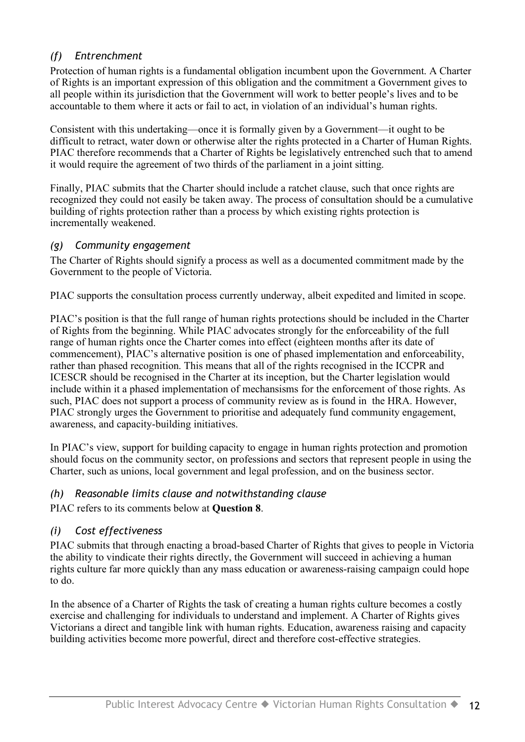### *(f) Entrenchment*

Protection of human rights is a fundamental obligation incumbent upon the Government. A Charter of Rights is an important expression of this obligation and the commitment a Government gives to all people within its jurisdiction that the Government will work to better people's lives and to be accountable to them where it acts or fail to act, in violation of an individual's human rights.

Consistent with this undertaking—once it is formally given by a Government—it ought to be difficult to retract, water down or otherwise alter the rights protected in a Charter of Human Rights. PIAC therefore recommends that a Charter of Rights be legislatively entrenched such that to amend it would require the agreement of two thirds of the parliament in a joint sitting.

Finally, PIAC submits that the Charter should include a ratchet clause, such that once rights are recognized they could not easily be taken away. The process of consultation should be a cumulative building of rights protection rather than a process by which existing rights protection is incrementally weakened.

#### *(g) Community engagement*

The Charter of Rights should signify a process as well as a documented commitment made by the Government to the people of Victoria.

PIAC supports the consultation process currently underway, albeit expedited and limited in scope.

PIAC's position is that the full range of human rights protections should be included in the Charter of Rights from the beginning. While PIAC advocates strongly for the enforceability of the full range of human rights once the Charter comes into effect (eighteen months after its date of commencement), PIAC's alternative position is one of phased implementation and enforceability, rather than phased recognition. This means that all of the rights recognised in the ICCPR and ICESCR should be recognised in the Charter at its inception, but the Charter legislation would include within it a phased implementation of mechansisms for the enforcement of those rights. As such, PIAC does not support a process of community review as is found in the HRA. However, PIAC strongly urges the Government to prioritise and adequately fund community engagement, awareness, and capacity-building initiatives.

In PIAC's view, support for building capacity to engage in human rights protection and promotion should focus on the community sector, on professions and sectors that represent people in using the Charter, such as unions, local government and legal profession, and on the business sector.

#### *(h) Reasonable limits clause and notwithstanding clause*

PIAC refers to its comments below at **Question 8**.

#### *(i) Cost effectiveness*

PIAC submits that through enacting a broad-based Charter of Rights that gives to people in Victoria the ability to vindicate their rights directly, the Government will succeed in achieving a human rights culture far more quickly than any mass education or awareness-raising campaign could hope to do.

In the absence of a Charter of Rights the task of creating a human rights culture becomes a costly exercise and challenging for individuals to understand and implement. A Charter of Rights gives Victorians a direct and tangible link with human rights. Education, awareness raising and capacity building activities become more powerful, direct and therefore cost-effective strategies.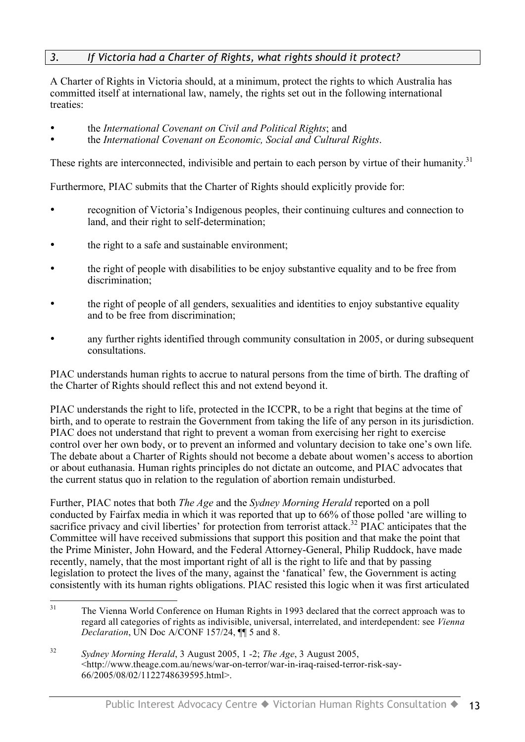#### *3. If Victoria had a Charter of Rights, what rights should it protect?*

A Charter of Rights in Victoria should, at a minimum, protect the rights to which Australia has committed itself at international law, namely, the rights set out in the following international treaties:

- the *International Covenant on Civil and Political Rights*; and
- the *International Covenant on Economic, Social and Cultural Rights*.

These rights are interconnected, indivisible and pertain to each person by virtue of their humanity.<sup>31</sup>

Furthermore, PIAC submits that the Charter of Rights should explicitly provide for:

- recognition of Victoria's Indigenous peoples, their continuing cultures and connection to land, and their right to self-determination;
- the right to a safe and sustainable environment:
- the right of people with disabilities to be enjoy substantive equality and to be free from discrimination;
- the right of people of all genders, sexualities and identities to enjoy substantive equality and to be free from discrimination;
- any further rights identified through community consultation in 2005, or during subsequent consultations.

PIAC understands human rights to accrue to natural persons from the time of birth. The drafting of the Charter of Rights should reflect this and not extend beyond it.

PIAC understands the right to life, protected in the ICCPR, to be a right that begins at the time of birth, and to operate to restrain the Government from taking the life of any person in its jurisdiction. PIAC does not understand that right to prevent a woman from exercising her right to exercise control over her own body, or to prevent an informed and voluntary decision to take one's own life. The debate about a Charter of Rights should not become a debate about women's access to abortion or about euthanasia. Human rights principles do not dictate an outcome, and PIAC advocates that the current status quo in relation to the regulation of abortion remain undisturbed.

Further, PIAC notes that both *The Age* and the *Sydney Morning Herald* reported on a poll conducted by Fairfax media in which it was reported that up to 66% of those polled 'are willing to sacrifice privacy and civil liberties' for protection from terrorist attack.<sup>32</sup> PIAC anticipates that the Committee will have received submissions that support this position and that make the point that the Prime Minister, John Howard, and the Federal Attorney-General, Philip Ruddock, have made recently, namely, that the most important right of all is the right to life and that by passing legislation to protect the lives of the many, against the 'fanatical' few, the Government is acting consistently with its human rights obligations. PIAC resisted this logic when it was first articulated

<sup>&</sup>lt;sup>31</sup> The Vienna World Conference on Human Rights in 1993 declared that the correct approach was to regard all categories of rights as indivisible, universal, interrelated, and interdependent: see *Vienna Declaration*, UN Doc A/CONF 157/24, ¶¶ 5 and 8.

<sup>32</sup> *Sydney Morning Herald*, 3 August 2005, 1 -2; *The Age*, 3 August 2005, <http://www.theage.com.au/news/war-on-terror/war-in-iraq-raised-terror-risk-say-66/2005/08/02/1122748639595.html>.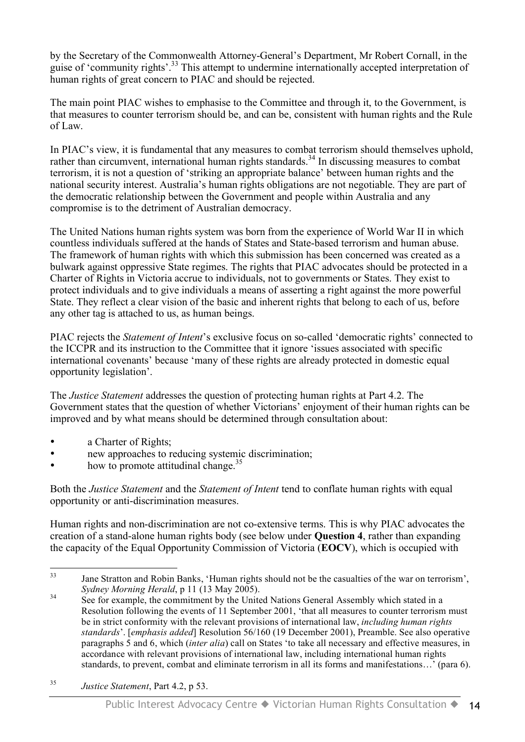by the Secretary of the Commonwealth Attorney-General's Department, Mr Robert Cornall, in the guise of 'community rights'.<sup>33</sup> This attempt to undermine internationally accepted interpretation of human rights of great concern to PIAC and should be rejected.

The main point PIAC wishes to emphasise to the Committee and through it, to the Government, is that measures to counter terrorism should be, and can be, consistent with human rights and the Rule of Law.

In PIAC's view, it is fundamental that any measures to combat terrorism should themselves uphold, rather than circumvent, international human rights standards.<sup>34</sup> In discussing measures to combat terrorism, it is not a question of 'striking an appropriate balance' between human rights and the national security interest. Australia's human rights obligations are not negotiable. They are part of the democratic relationship between the Government and people within Australia and any compromise is to the detriment of Australian democracy.

The United Nations human rights system was born from the experience of World War II in which countless individuals suffered at the hands of States and State-based terrorism and human abuse. The framework of human rights with which this submission has been concerned was created as a bulwark against oppressive State regimes. The rights that PIAC advocates should be protected in a Charter of Rights in Victoria accrue to individuals, not to governments or States. They exist to protect individuals and to give individuals a means of asserting a right against the more powerful State. They reflect a clear vision of the basic and inherent rights that belong to each of us, before any other tag is attached to us, as human beings.

PIAC rejects the *Statement of Intent*'s exclusive focus on so-called 'democratic rights' connected to the ICCPR and its instruction to the Committee that it ignore 'issues associated with specific international covenants' because 'many of these rights are already protected in domestic equal opportunity legislation'.

The *Justice Statement* addresses the question of protecting human rights at Part 4.2. The Government states that the question of whether Victorians' enjoyment of their human rights can be improved and by what means should be determined through consultation about:

- a Charter of Rights:
- new approaches to reducing systemic discrimination;
- how to promote attitudinal change.<sup>35</sup>

Both the *Justice Statement* and the *Statement of Intent* tend to conflate human rights with equal opportunity or anti-discrimination measures.

Human rights and non-discrimination are not co-extensive terms. This is why PIAC advocates the creation of a stand-alone human rights body (see below under **Question 4**, rather than expanding the capacity of the Equal Opportunity Commission of Victoria (**EOCV**), which is occupied with

<sup>&</sup>lt;sup>33</sup> Jane Stratton and Robin Banks, 'Human rights should not be the casualties of the war on terrorism', *Sydney Morning Herald*, p 11 (13 May 2005).

<sup>&</sup>lt;sup>34</sup> See for example, the commitment by the United Nations General Assembly which stated in a Resolution following the events of 11 September 2001, 'that all measures to counter terrorism must be in strict conformity with the relevant provisions of international law, *including human rights standards*'. [*emphasis added*] Resolution 56/160 (19 December 2001), Preamble. See also operative paragraphs 5 and 6, which (*inter alia*) call on States 'to take all necessary and effective measures, in accordance with relevant provisions of international law, including international human rights standards, to prevent, combat and eliminate terrorism in all its forms and manifestations…' (para 6).

<sup>35</sup> *Justice Statement*, Part 4.2, p 53.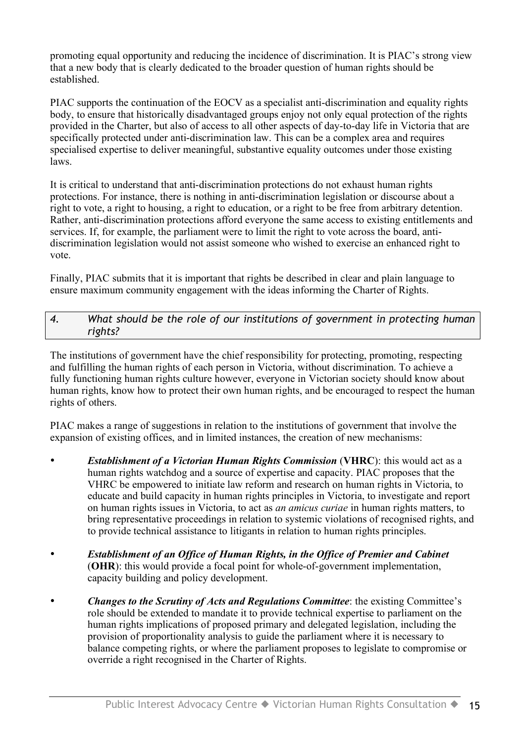promoting equal opportunity and reducing the incidence of discrimination. It is PIAC's strong view that a new body that is clearly dedicated to the broader question of human rights should be established.

PIAC supports the continuation of the EOCV as a specialist anti-discrimination and equality rights body, to ensure that historically disadvantaged groups enjoy not only equal protection of the rights provided in the Charter, but also of access to all other aspects of day-to-day life in Victoria that are specifically protected under anti-discrimination law. This can be a complex area and requires specialised expertise to deliver meaningful, substantive equality outcomes under those existing laws.

It is critical to understand that anti-discrimination protections do not exhaust human rights protections. For instance, there is nothing in anti-discrimination legislation or discourse about a right to vote, a right to housing, a right to education, or a right to be free from arbitrary detention. Rather, anti-discrimination protections afford everyone the same access to existing entitlements and services. If, for example, the parliament were to limit the right to vote across the board, antidiscrimination legislation would not assist someone who wished to exercise an enhanced right to vote.

Finally, PIAC submits that it is important that rights be described in clear and plain language to ensure maximum community engagement with the ideas informing the Charter of Rights.

#### *4. What should be the role of our institutions of government in protecting human rights?*

The institutions of government have the chief responsibility for protecting, promoting, respecting and fulfilling the human rights of each person in Victoria, without discrimination. To achieve a fully functioning human rights culture however, everyone in Victorian society should know about human rights, know how to protect their own human rights, and be encouraged to respect the human rights of others.

PIAC makes a range of suggestions in relation to the institutions of government that involve the expansion of existing offices, and in limited instances, the creation of new mechanisms:

- *Establishment of a Victorian Human Rights Commission* (**VHRC**): this would act as a human rights watchdog and a source of expertise and capacity. PIAC proposes that the VHRC be empowered to initiate law reform and research on human rights in Victoria, to educate and build capacity in human rights principles in Victoria, to investigate and report on human rights issues in Victoria, to act as *an amicus curiae* in human rights matters, to bring representative proceedings in relation to systemic violations of recognised rights, and to provide technical assistance to litigants in relation to human rights principles.
- *Establishment of an Office of Human Rights, in the Office of Premier and Cabinet* (**OHR**): this would provide a focal point for whole-of-government implementation, capacity building and policy development.
- *Changes to the Scrutiny of Acts and Regulations Committee*: the existing Committee's role should be extended to mandate it to provide technical expertise to parliament on the human rights implications of proposed primary and delegated legislation, including the provision of proportionality analysis to guide the parliament where it is necessary to balance competing rights, or where the parliament proposes to legislate to compromise or override a right recognised in the Charter of Rights.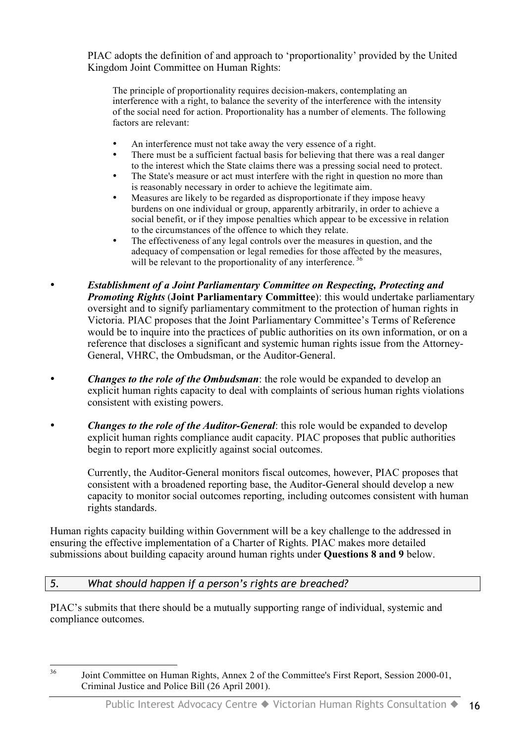PIAC adopts the definition of and approach to 'proportionality' provided by the United Kingdom Joint Committee on Human Rights:

The principle of proportionality requires decision-makers, contemplating an interference with a right, to balance the severity of the interference with the intensity of the social need for action. Proportionality has a number of elements. The following factors are relevant:

- An interference must not take away the very essence of a right.
- There must be a sufficient factual basis for believing that there was a real danger to the interest which the State claims there was a pressing social need to protect.
- The State's measure or act must interfere with the right in question no more than is reasonably necessary in order to achieve the legitimate aim.
- Measures are likely to be regarded as disproportionate if they impose heavy burdens on one individual or group, apparently arbitrarily, in order to achieve a social benefit, or if they impose penalties which appear to be excessive in relation to the circumstances of the offence to which they relate.
- The effectiveness of any legal controls over the measures in question, and the adequacy of compensation or legal remedies for those affected by the measures, will be relevant to the proportionality of any interference.<sup>36</sup>
- *Establishment of a Joint Parliamentary Committee on Respecting, Protecting and Promoting Rights* (**Joint Parliamentary Committee**): this would undertake parliamentary oversight and to signify parliamentary commitment to the protection of human rights in Victoria. PIAC proposes that the Joint Parliamentary Committee's Terms of Reference would be to inquire into the practices of public authorities on its own information, or on a reference that discloses a significant and systemic human rights issue from the Attorney-General, VHRC, the Ombudsman, or the Auditor-General.
- *Changes to the role of the Ombudsman*: the role would be expanded to develop an explicit human rights capacity to deal with complaints of serious human rights violations consistent with existing powers.
- *Changes to the role of the Auditor-General*: this role would be expanded to develop explicit human rights compliance audit capacity. PIAC proposes that public authorities begin to report more explicitly against social outcomes.

Currently, the Auditor-General monitors fiscal outcomes, however, PIAC proposes that consistent with a broadened reporting base, the Auditor-General should develop a new capacity to monitor social outcomes reporting, including outcomes consistent with human rights standards.

Human rights capacity building within Government will be a key challenge to the addressed in ensuring the effective implementation of a Charter of Rights. PIAC makes more detailed submissions about building capacity around human rights under **Questions 8 and 9** below.

#### *5. What should happen if a person's rights are breached?*

PIAC's submits that there should be a mutually supporting range of individual, systemic and compliance outcomes.

<sup>&</sup>lt;sup>36</sup> Joint Committee on Human Rights, Annex 2 of the Committee's First Report, Session 2000-01, Criminal Justice and Police Bill (26 April 2001).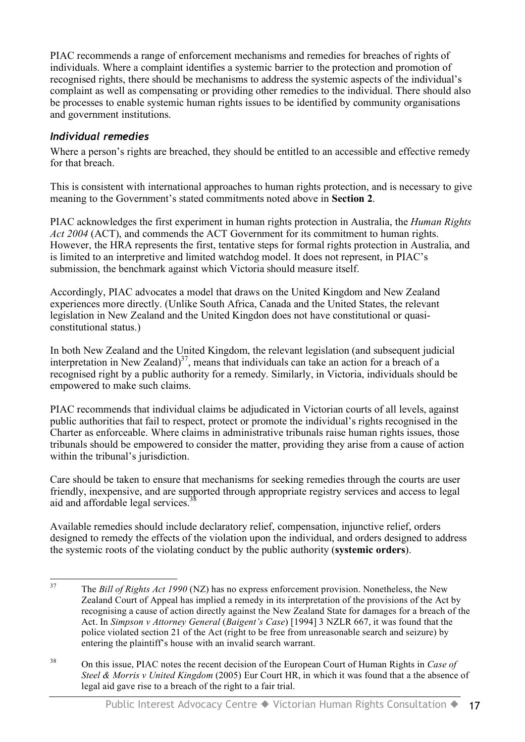PIAC recommends a range of enforcement mechanisms and remedies for breaches of rights of individuals. Where a complaint identifies a systemic barrier to the protection and promotion of recognised rights, there should be mechanisms to address the systemic aspects of the individual's complaint as well as compensating or providing other remedies to the individual. There should also be processes to enable systemic human rights issues to be identified by community organisations and government institutions.

#### *Individual remedies*

Where a person's rights are breached, they should be entitled to an accessible and effective remedy for that breach.

This is consistent with international approaches to human rights protection, and is necessary to give meaning to the Government's stated commitments noted above in **Section 2**.

PIAC acknowledges the first experiment in human rights protection in Australia, the *Human Rights Act 2004* (ACT), and commends the ACT Government for its commitment to human rights. However, the HRA represents the first, tentative steps for formal rights protection in Australia, and is limited to an interpretive and limited watchdog model. It does not represent, in PIAC's submission, the benchmark against which Victoria should measure itself.

Accordingly, PIAC advocates a model that draws on the United Kingdom and New Zealand experiences more directly. (Unlike South Africa, Canada and the United States, the relevant legislation in New Zealand and the United Kingdon does not have constitutional or quasiconstitutional status.)

In both New Zealand and the United Kingdom, the relevant legislation (and subsequent judicial interpretation in New Zealand) $37$ , means that individuals can take an action for a breach of a recognised right by a public authority for a remedy. Similarly, in Victoria, individuals should be empowered to make such claims.

PIAC recommends that individual claims be adjudicated in Victorian courts of all levels, against public authorities that fail to respect, protect or promote the individual's rights recognised in the Charter as enforceable. Where claims in administrative tribunals raise human rights issues, those tribunals should be empowered to consider the matter, providing they arise from a cause of action within the tribunal's jurisdiction.

Care should be taken to ensure that mechanisms for seeking remedies through the courts are user friendly, inexpensive, and are supported through appropriate registry services and access to legal aid and affordable legal services.<sup>38</sup>

Available remedies should include declaratory relief, compensation, injunctive relief, orders designed to remedy the effects of the violation upon the individual, and orders designed to address the systemic roots of the violating conduct by the public authority (**systemic orders**).

 <sup>37</sup> The *Bill of Rights Act <sup>1990</sup>* (NZ) has no express enforcement provision. Nonetheless, the New Zealand Court of Appeal has implied a remedy in its interpretation of the provisions of the Act by recognising a cause of action directly against the New Zealand State for damages for a breach of the Act. In *Simpson v Attorney General* (*Baigent's Case*) [1994] 3 NZLR 667, it was found that the police violated section 21 of the Act (right to be free from unreasonable search and seizure) by entering the plaintiff's house with an invalid search warrant.

<sup>38</sup> On this issue, PIAC notes the recent decision of the European Court of Human Rights in *Case of Steel & Morris v United Kingdom* (2005) Eur Court HR, in which it was found that a the absence of legal aid gave rise to a breach of the right to a fair trial.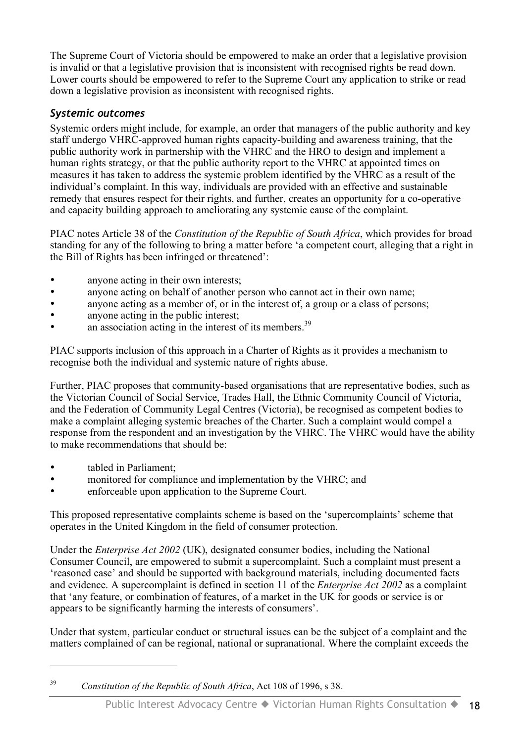The Supreme Court of Victoria should be empowered to make an order that a legislative provision is invalid or that a legislative provision that is inconsistent with recognised rights be read down. Lower courts should be empowered to refer to the Supreme Court any application to strike or read down a legislative provision as inconsistent with recognised rights.

#### *Systemic outcomes*

Systemic orders might include, for example, an order that managers of the public authority and key staff undergo VHRC-approved human rights capacity-building and awareness training, that the public authority work in partnership with the VHRC and the HRO to design and implement a human rights strategy, or that the public authority report to the VHRC at appointed times on measures it has taken to address the systemic problem identified by the VHRC as a result of the individual's complaint. In this way, individuals are provided with an effective and sustainable remedy that ensures respect for their rights, and further, creates an opportunity for a co-operative and capacity building approach to ameliorating any systemic cause of the complaint.

PIAC notes Article 38 of the *Constitution of the Republic of South Africa*, which provides for broad standing for any of the following to bring a matter before 'a competent court, alleging that a right in the Bill of Rights has been infringed or threatened':

- anyone acting in their own interests;
- anyone acting on behalf of another person who cannot act in their own name;
- anyone acting as a member of, or in the interest of, a group or a class of persons;
- anyone acting in the public interest;
- an association acting in the interest of its members.<sup>39</sup>

PIAC supports inclusion of this approach in a Charter of Rights as it provides a mechanism to recognise both the individual and systemic nature of rights abuse.

Further, PIAC proposes that community-based organisations that are representative bodies, such as the Victorian Council of Social Service, Trades Hall, the Ethnic Community Council of Victoria, and the Federation of Community Legal Centres (Victoria), be recognised as competent bodies to make a complaint alleging systemic breaches of the Charter. Such a complaint would compel a response from the respondent and an investigation by the VHRC. The VHRC would have the ability to make recommendations that should be:

tabled in Parliament:

 $\overline{a}$ 

- monitored for compliance and implementation by the VHRC; and
- enforceable upon application to the Supreme Court.

This proposed representative complaints scheme is based on the 'supercomplaints' scheme that operates in the United Kingdom in the field of consumer protection.

Under the *Enterprise Act 2002* (UK), designated consumer bodies, including the National Consumer Council, are empowered to submit a supercomplaint. Such a complaint must present a 'reasoned case' and should be supported with background materials, including documented facts and evidence. A supercomplaint is defined in section 11 of the *Enterprise Act 2002* as a complaint that 'any feature, or combination of features, of a market in the UK for goods or service is or appears to be significantly harming the interests of consumers'.

Under that system, particular conduct or structural issues can be the subject of a complaint and the matters complained of can be regional, national or supranational. Where the complaint exceeds the

<sup>39</sup> *Constitution of the Republic of South Africa*, Act 108 of 1996, s 38.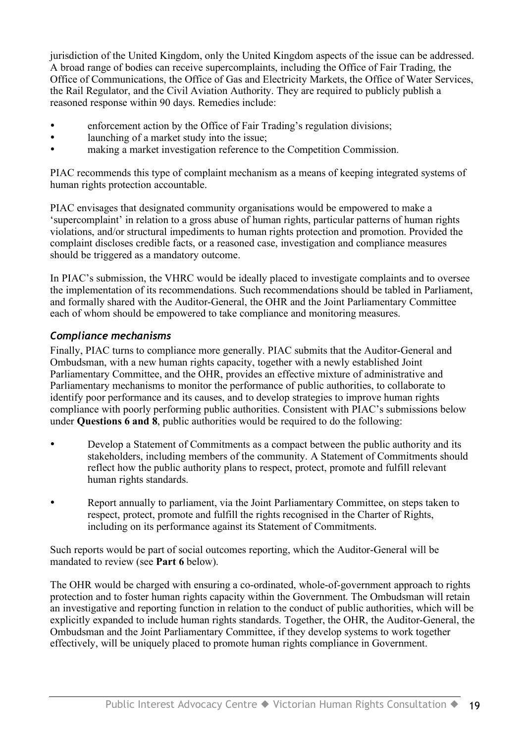jurisdiction of the United Kingdom, only the United Kingdom aspects of the issue can be addressed. A broad range of bodies can receive supercomplaints, including the Office of Fair Trading, the Office of Communications, the Office of Gas and Electricity Markets, the Office of Water Services, the Rail Regulator, and the Civil Aviation Authority. They are required to publicly publish a reasoned response within 90 days. Remedies include:

- enforcement action by the Office of Fair Trading's regulation divisions;
- launching of a market study into the issue;
- making a market investigation reference to the Competition Commission.

PIAC recommends this type of complaint mechanism as a means of keeping integrated systems of human rights protection accountable.

PIAC envisages that designated community organisations would be empowered to make a 'supercomplaint' in relation to a gross abuse of human rights, particular patterns of human rights violations, and/or structural impediments to human rights protection and promotion. Provided the complaint discloses credible facts, or a reasoned case, investigation and compliance measures should be triggered as a mandatory outcome.

In PIAC's submission, the VHRC would be ideally placed to investigate complaints and to oversee the implementation of its recommendations. Such recommendations should be tabled in Parliament, and formally shared with the Auditor-General, the OHR and the Joint Parliamentary Committee each of whom should be empowered to take compliance and monitoring measures.

#### *Compliance mechanisms*

Finally, PIAC turns to compliance more generally. PIAC submits that the Auditor-General and Ombudsman, with a new human rights capacity, together with a newly established Joint Parliamentary Committee, and the OHR, provides an effective mixture of administrative and Parliamentary mechanisms to monitor the performance of public authorities, to collaborate to identify poor performance and its causes, and to develop strategies to improve human rights compliance with poorly performing public authorities. Consistent with PIAC's submissions below under **Questions 6 and 8**, public authorities would be required to do the following:

- Develop a Statement of Commitments as a compact between the public authority and its stakeholders, including members of the community. A Statement of Commitments should reflect how the public authority plans to respect, protect, promote and fulfill relevant human rights standards.
- Report annually to parliament, via the Joint Parliamentary Committee, on steps taken to respect, protect, promote and fulfill the rights recognised in the Charter of Rights, including on its performance against its Statement of Commitments.

Such reports would be part of social outcomes reporting, which the Auditor-General will be mandated to review (see **Part 6** below).

The OHR would be charged with ensuring a co-ordinated, whole-of-government approach to rights protection and to foster human rights capacity within the Government. The Ombudsman will retain an investigative and reporting function in relation to the conduct of public authorities, which will be explicitly expanded to include human rights standards. Together, the OHR, the Auditor-General, the Ombudsman and the Joint Parliamentary Committee, if they develop systems to work together effectively, will be uniquely placed to promote human rights compliance in Government.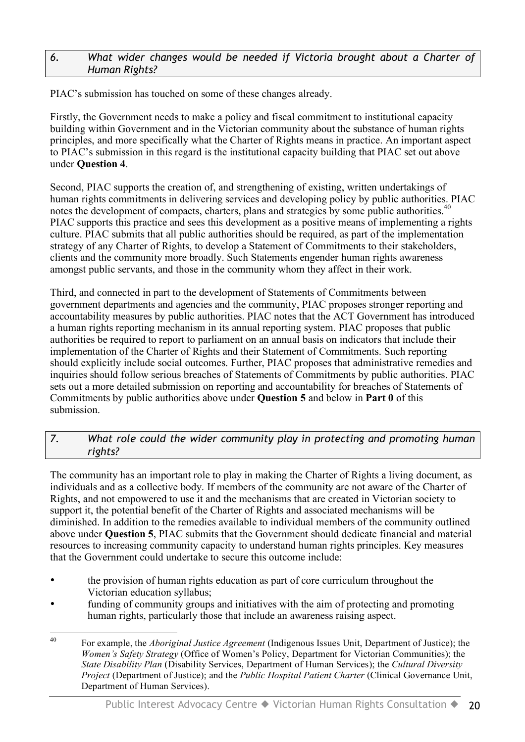#### *6. What wider changes would be needed if Victoria brought about a Charter of Human Rights?*

PIAC's submission has touched on some of these changes already.

Firstly, the Government needs to make a policy and fiscal commitment to institutional capacity building within Government and in the Victorian community about the substance of human rights principles, and more specifically what the Charter of Rights means in practice. An important aspect to PIAC's submission in this regard is the institutional capacity building that PIAC set out above under **Question 4**.

Second, PIAC supports the creation of, and strengthening of existing, written undertakings of human rights commitments in delivering services and developing policy by public authorities. PIAC notes the development of compacts, charters, plans and strategies by some public authorities.<sup>40</sup> PIAC supports this practice and sees this development as a positive means of implementing a rights culture. PIAC submits that all public authorities should be required, as part of the implementation strategy of any Charter of Rights, to develop a Statement of Commitments to their stakeholders, clients and the community more broadly. Such Statements engender human rights awareness amongst public servants, and those in the community whom they affect in their work.

Third, and connected in part to the development of Statements of Commitments between government departments and agencies and the community, PIAC proposes stronger reporting and accountability measures by public authorities. PIAC notes that the ACT Government has introduced a human rights reporting mechanism in its annual reporting system. PIAC proposes that public authorities be required to report to parliament on an annual basis on indicators that include their implementation of the Charter of Rights and their Statement of Commitments. Such reporting should explicitly include social outcomes. Further, PIAC proposes that administrative remedies and inquiries should follow serious breaches of Statements of Commitments by public authorities. PIAC sets out a more detailed submission on reporting and accountability for breaches of Statements of Commitments by public authorities above under **Question 5** and below in **Part 0** of this submission.

#### *7. What role could the wider community play in protecting and promoting human rights?*

The community has an important role to play in making the Charter of Rights a living document, as individuals and as a collective body. If members of the community are not aware of the Charter of Rights, and not empowered to use it and the mechanisms that are created in Victorian society to support it, the potential benefit of the Charter of Rights and associated mechanisms will be diminished. In addition to the remedies available to individual members of the community outlined above under **Question 5**, PIAC submits that the Government should dedicate financial and material resources to increasing community capacity to understand human rights principles. Key measures that the Government could undertake to secure this outcome include:

- the provision of human rights education as part of core curriculum throughout the Victorian education syllabus;
- funding of community groups and initiatives with the aim of protecting and promoting human rights, particularly those that include an awareness raising aspect.
- 40 For example, the *Aboriginal Justice Agreement* (Indigenous Issues Unit, Department of Justice); the *Women's Safety Strategy* (Office of Women's Policy, Department for Victorian Communities); the *State Disability Plan* (Disability Services, Department of Human Services); the *Cultural Diversity Project* (Department of Justice); and the *Public Hospital Patient Charter* (Clinical Governance Unit, Department of Human Services).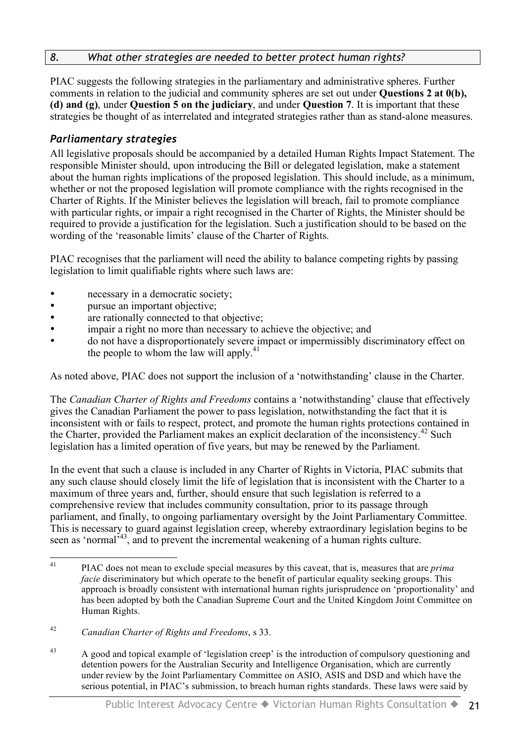#### *8. What other strategies are needed to better protect human rights?*

PIAC suggests the following strategies in the parliamentary and administrative spheres. Further comments in relation to the judicial and community spheres are set out under **Questions 2 at 0(b), (d) and (g)**, under **Question 5 on the judiciary**, and under **Question 7**. It is important that these strategies be thought of as interrelated and integrated strategies rather than as stand-alone measures.

#### *Parliamentary strategies*

All legislative proposals should be accompanied by a detailed Human Rights Impact Statement. The responsible Minister should, upon introducing the Bill or delegated legislation, make a statement about the human rights implications of the proposed legislation. This should include, as a minimum, whether or not the proposed legislation will promote compliance with the rights recognised in the Charter of Rights. If the Minister believes the legislation will breach, fail to promote compliance with particular rights, or impair a right recognised in the Charter of Rights, the Minister should be required to provide a justification for the legislation. Such a justification should to be based on the wording of the 'reasonable limits' clause of the Charter of Rights.

PIAC recognises that the parliament will need the ability to balance competing rights by passing legislation to limit qualifiable rights where such laws are:

- necessary in a democratic society;
- **pursue an important objective:**
- are rationally connected to that objective;
- impair a right no more than necessary to achieve the objective; and
- do not have a disproportionately severe impact or impermissibly discriminatory effect on the people to whom the law will apply. $41$

As noted above, PIAC does not support the inclusion of a 'notwithstanding' clause in the Charter.

The *Canadian Charter of Rights and Freedoms* contains a 'notwithstanding' clause that effectively gives the Canadian Parliament the power to pass legislation, notwithstanding the fact that it is inconsistent with or fails to respect, protect, and promote the human rights protections contained in the Charter, provided the Parliament makes an explicit declaration of the inconsistency. <sup>42</sup> Such legislation has a limited operation of five years, but may be renewed by the Parliament.

In the event that such a clause is included in any Charter of Rights in Victoria, PIAC submits that any such clause should closely limit the life of legislation that is inconsistent with the Charter to a maximum of three years and, further, should ensure that such legislation is referred to a comprehensive review that includes community consultation, prior to its passage through parliament, and finally, to ongoing parliamentary oversight by the Joint Parliamentary Committee. This is necessary to guard against legislation creep, whereby extraordinary legislation begins to be seen as 'normal<sup>543</sup>, and to prevent the incremental weakening of a human rights culture.

<sup>43</sup> A good and topical example of 'legislation creep' is the introduction of compulsory questioning and detention powers for the Australian Security and Intelligence Organisation, which are currently under review by the Joint Parliamentary Committee on ASIO, ASIS and DSD and which have the serious potential, in PIAC's submission, to breach human rights standards. These laws were said by

 <sup>41</sup> PIAC does not mean to exclude special measures by this caveat, that is, measures that are *prima facie* discriminatory but which operate to the benefit of particular equality seeking groups. This approach is broadly consistent with international human rights jurisprudence on 'proportionality' and has been adopted by both the Canadian Supreme Court and the United Kingdom Joint Committee on Human Rights.

<sup>42</sup> *Canadian Charter of Rights and Freedoms*, s 33.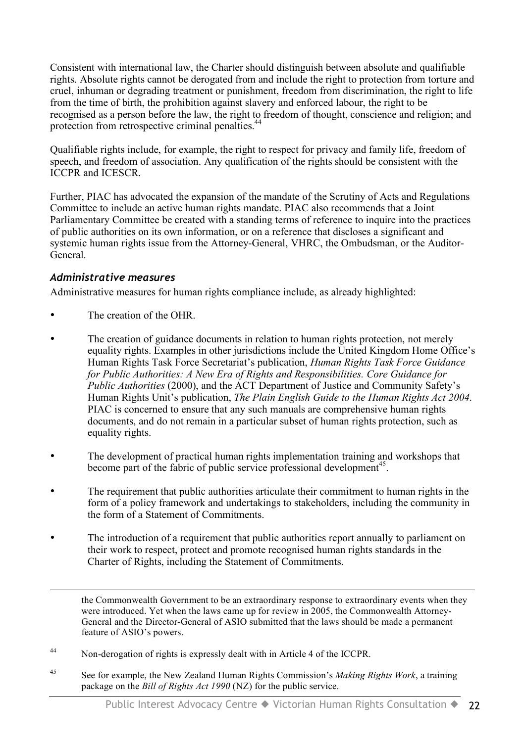Consistent with international law, the Charter should distinguish between absolute and qualifiable rights. Absolute rights cannot be derogated from and include the right to protection from torture and cruel, inhuman or degrading treatment or punishment, freedom from discrimination, the right to life from the time of birth, the prohibition against slavery and enforced labour, the right to be recognised as a person before the law, the right to freedom of thought, conscience and religion; and protection from retrospective criminal penalties.<sup>44</sup>

Qualifiable rights include, for example, the right to respect for privacy and family life, freedom of speech, and freedom of association. Any qualification of the rights should be consistent with the ICCPR and ICESCR.

Further, PIAC has advocated the expansion of the mandate of the Scrutiny of Acts and Regulations Committee to include an active human rights mandate. PIAC also recommends that a Joint Parliamentary Committee be created with a standing terms of reference to inquire into the practices of public authorities on its own information, or on a reference that discloses a significant and systemic human rights issue from the Attorney-General, VHRC, the Ombudsman, or the Auditor-General.

#### *Administrative measures*

 $\overline{a}$ 

Administrative measures for human rights compliance include, as already highlighted:

- The creation of the OHR.
- The creation of guidance documents in relation to human rights protection, not merely equality rights. Examples in other jurisdictions include the United Kingdom Home Office's Human Rights Task Force Secretariat's publication, *Human Rights Task Force Guidance for Public Authorities: A New Era of Rights and Responsibilities. Core Guidance for Public Authorities* (2000), and the ACT Department of Justice and Community Safety's Human Rights Unit's publication, *The Plain English Guide to the Human Rights Act 2004*. PIAC is concerned to ensure that any such manuals are comprehensive human rights documents, and do not remain in a particular subset of human rights protection, such as equality rights.
- The development of practical human rights implementation training and workshops that become part of the fabric of public service professional development<sup>45</sup>.
- The requirement that public authorities articulate their commitment to human rights in the form of a policy framework and undertakings to stakeholders, including the community in the form of a Statement of Commitments.
- The introduction of a requirement that public authorities report annually to parliament on their work to respect, protect and promote recognised human rights standards in the Charter of Rights, including the Statement of Commitments.

the Commonwealth Government to be an extraordinary response to extraordinary events when they were introduced. Yet when the laws came up for review in 2005, the Commonwealth Attorney-General and the Director-General of ASIO submitted that the laws should be made a permanent feature of ASIO's powers.

- <sup>44</sup> Non-derogation of rights is expressly dealt with in Article 4 of the ICCPR.
- <sup>45</sup> See for example, the New Zealand Human Rights Commission's *Making Rights Work*, a training package on the *Bill of Rights Act 1990* (NZ) for the public service.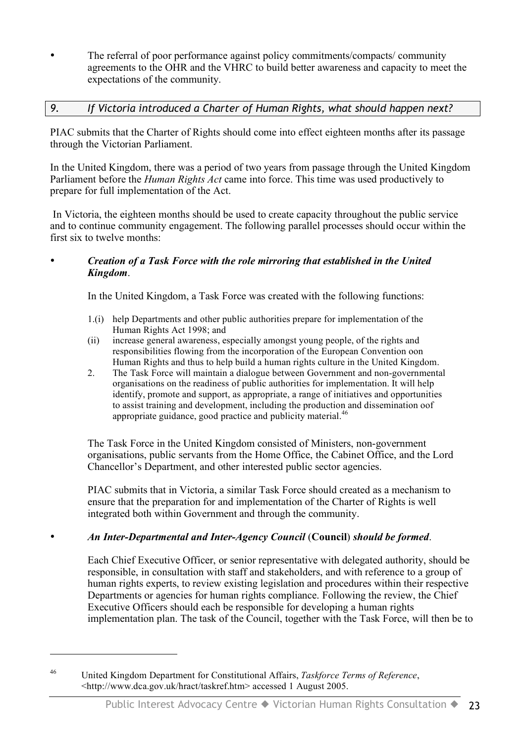• The referral of poor performance against policy commitments/compacts/ community agreements to the OHR and the VHRC to build better awareness and capacity to meet the expectations of the community.

#### *9. If Victoria introduced a Charter of Human Rights, what should happen next?*

PIAC submits that the Charter of Rights should come into effect eighteen months after its passage through the Victorian Parliament.

In the United Kingdom, there was a period of two years from passage through the United Kingdom Parliament before the *Human Rights Act* came into force. This time was used productively to prepare for full implementation of the Act.

In Victoria, the eighteen months should be used to create capacity throughout the public service and to continue community engagement. The following parallel processes should occur within the first six to twelve months:

#### • *Creation of a Task Force with the role mirroring that established in the United Kingdom*.

In the United Kingdom, a Task Force was created with the following functions:

- 1.(i) help Departments and other public authorities prepare for implementation of the Human Rights Act 1998; and
- (ii) increase general awareness, especially amongst young people, of the rights and responsibilities flowing from the incorporation of the European Convention oon Human Rights and thus to help build a human rights culture in the United Kingdom.
- 2. The Task Force will maintain a dialogue between Government and non-governmental organisations on the readiness of public authorities for implementation. It will help identify, promote and support, as appropriate, a range of initiatives and opportunities to assist training and development, including the production and dissemination oof appropriate guidance, good practice and publicity material.<sup>46</sup>

The Task Force in the United Kingdom consisted of Ministers, non-government organisations, public servants from the Home Office, the Cabinet Office, and the Lord Chancellor's Department, and other interested public sector agencies.

PIAC submits that in Victoria, a similar Task Force should created as a mechanism to ensure that the preparation for and implementation of the Charter of Rights is well integrated both within Government and through the community.

#### • *An Inter-Departmental and Inter-Agency Council* (**Council**) *should be formed*.

Each Chief Executive Officer, or senior representative with delegated authority, should be responsible, in consultation with staff and stakeholders, and with reference to a group of human rights experts, to review existing legislation and procedures within their respective Departments or agencies for human rights compliance. Following the review, the Chief Executive Officers should each be responsible for developing a human rights implementation plan. The task of the Council, together with the Task Force, will then be to

 $\overline{a}$ 

<sup>46</sup> United Kingdom Department for Constitutional Affairs, *Taskforce Terms of Reference*, <http://www.dca.gov.uk/hract/taskref.htm> accessed 1 August 2005.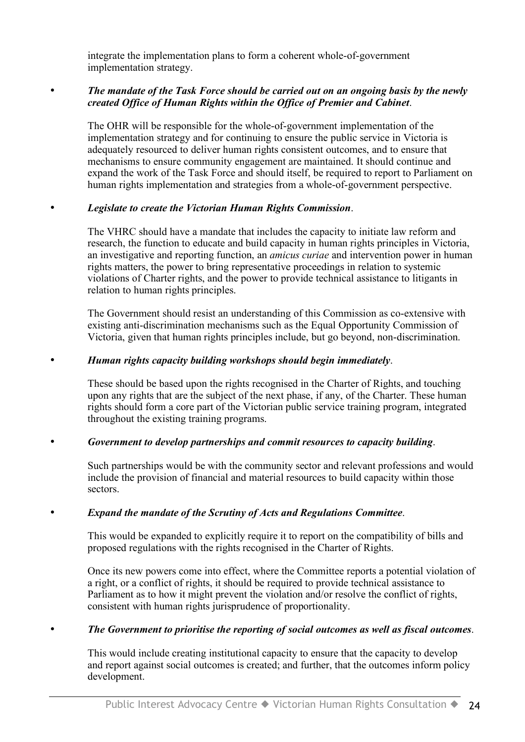integrate the implementation plans to form a coherent whole-of-government implementation strategy.

#### • *The mandate of the Task Force should be carried out on an ongoing basis by the newly created Office of Human Rights within the Office of Premier and Cabinet*.

The OHR will be responsible for the whole-of-government implementation of the implementation strategy and for continuing to ensure the public service in Victoria is adequately resourced to deliver human rights consistent outcomes, and to ensure that mechanisms to ensure community engagement are maintained. It should continue and expand the work of the Task Force and should itself, be required to report to Parliament on human rights implementation and strategies from a whole-of-government perspective.

#### • *Legislate to create the Victorian Human Rights Commission*.

The VHRC should have a mandate that includes the capacity to initiate law reform and research, the function to educate and build capacity in human rights principles in Victoria, an investigative and reporting function, an *amicus curiae* and intervention power in human rights matters, the power to bring representative proceedings in relation to systemic violations of Charter rights, and the power to provide technical assistance to litigants in relation to human rights principles.

The Government should resist an understanding of this Commission as co-extensive with existing anti-discrimination mechanisms such as the Equal Opportunity Commission of Victoria, given that human rights principles include, but go beyond, non-discrimination.

#### • *Human rights capacity building workshops should begin immediately*.

These should be based upon the rights recognised in the Charter of Rights, and touching upon any rights that are the subject of the next phase, if any, of the Charter. These human rights should form a core part of the Victorian public service training program, integrated throughout the existing training programs.

#### • *Government to develop partnerships and commit resources to capacity building*.

Such partnerships would be with the community sector and relevant professions and would include the provision of financial and material resources to build capacity within those sectors.

#### • *Expand the mandate of the Scrutiny of Acts and Regulations Committee*.

This would be expanded to explicitly require it to report on the compatibility of bills and proposed regulations with the rights recognised in the Charter of Rights.

Once its new powers come into effect, where the Committee reports a potential violation of a right, or a conflict of rights, it should be required to provide technical assistance to Parliament as to how it might prevent the violation and/or resolve the conflict of rights, consistent with human rights jurisprudence of proportionality.

#### • *The Government to prioritise the reporting of social outcomes as well as fiscal outcomes*.

This would include creating institutional capacity to ensure that the capacity to develop and report against social outcomes is created; and further, that the outcomes inform policy development.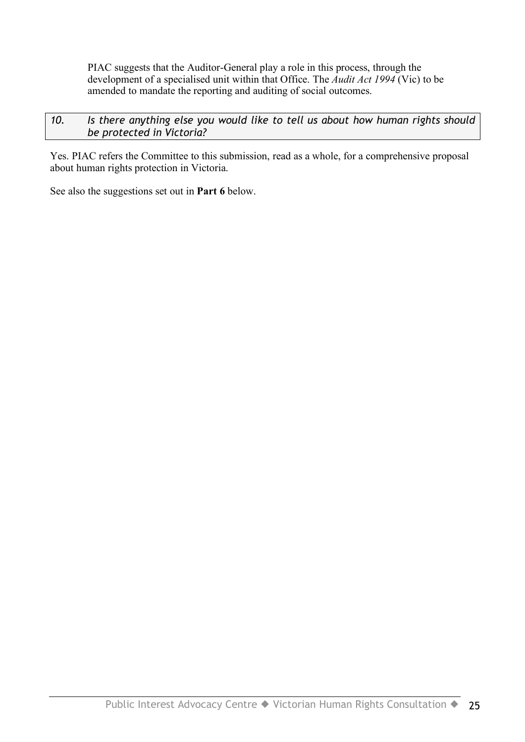PIAC suggests that the Auditor-General play a role in this process, through the development of a specialised unit within that Office. The *Audit Act 1994* (Vic) to be amended to mandate the reporting and auditing of social outcomes.

#### *10. Is there anything else you would like to tell us about how human rights should be protected in Victoria?*

Yes. PIAC refers the Committee to this submission, read as a whole, for a comprehensive proposal about human rights protection in Victoria.

See also the suggestions set out in **Part 6** below.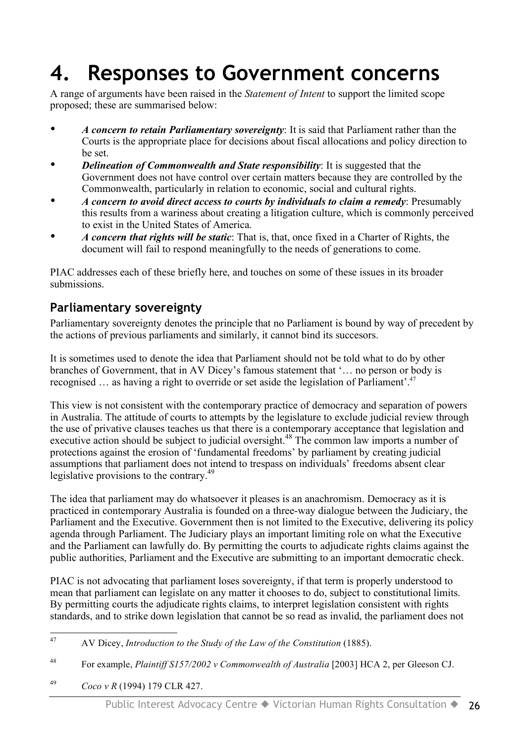## **4. Responses to Government concerns**

A range of arguments have been raised in the *Statement of Intent* to support the limited scope proposed; these are summarised below:

- *A concern to retain Parliamentary sovereignty*: It is said that Parliament rather than the Courts is the appropriate place for decisions about fiscal allocations and policy direction to be set.
- *Delineation of Commonwealth and State responsibility*: It is suggested that the Government does not have control over certain matters because they are controlled by the Commonwealth, particularly in relation to economic, social and cultural rights.
- *A concern to avoid direct access to courts by individuals to claim a remedy*: Presumably this results from a wariness about creating a litigation culture, which is commonly perceived to exist in the United States of America.
- *A concern that rights will be static*: That is, that, once fixed in a Charter of Rights, the document will fail to respond meaningfully to the needs of generations to come.

PIAC addresses each of these briefly here, and touches on some of these issues in its broader submissions.

### **Parliamentary sovereignty**

Parliamentary sovereignty denotes the principle that no Parliament is bound by way of precedent by the actions of previous parliaments and similarly, it cannot bind its succesors.

It is sometimes used to denote the idea that Parliament should not be told what to do by other branches of Government, that in AV Dicey's famous statement that '… no person or body is recognised … as having a right to override or set aside the legislation of Parliament'. 47

This view is not consistent with the contemporary practice of democracy and separation of powers in Australia. The attitude of courts to attempts by the legislature to exclude judicial review through the use of privative clauses teaches us that there is a contemporary acceptance that legislation and executive action should be subject to judicial oversight.<sup>48</sup> The common law imports a number of protections against the erosion of 'fundamental freedoms' by parliament by creating judicial assumptions that parliament does not intend to trespass on individuals' freedoms absent clear legislative provisions to the contrary.<sup>49</sup>

The idea that parliament may do whatsoever it pleases is an anachromism. Democracy as it is practiced in contemporary Australia is founded on a three-way dialogue between the Judiciary, the Parliament and the Executive. Government then is not limited to the Executive, delivering its policy agenda through Parliament. The Judiciary plays an important limiting role on what the Executive and the Parliament can lawfully do. By permitting the courts to adjudicate rights claims against the public authorities, Parliament and the Executive are submitting to an important democratic check.

PIAC is not advocating that parliament loses sovereignty, if that term is properly understood to mean that parliament can legislate on any matter it chooses to do, subject to constitutional limits. By permitting courts the adjudicate rights claims, to interpret legislation consistent with rights standards, and to strike down legislation that cannot be so read as invalid, the parliament does not

- <sup>48</sup> For example, *Plaintiff S157/2002 v Commonwealth of Australia* [2003] HCA 2, per Gleeson CJ.
- <sup>49</sup> *Coco v R* (1994) 179 CLR 427.

 <sup>47</sup> AV Dicey, *Introduction to the Study of the Law of the Constitution* (1885).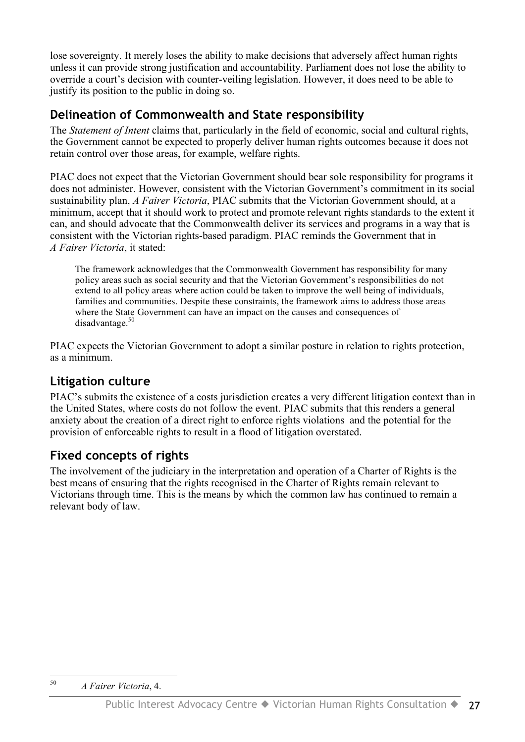lose sovereignty. It merely loses the ability to make decisions that adversely affect human rights unless it can provide strong justification and accountability. Parliament does not lose the ability to override a court's decision with counter-veiling legislation. However, it does need to be able to justify its position to the public in doing so.

### **Delineation of Commonwealth and State responsibility**

The *Statement of Intent* claims that, particularly in the field of economic, social and cultural rights, the Government cannot be expected to properly deliver human rights outcomes because it does not retain control over those areas, for example, welfare rights.

PIAC does not expect that the Victorian Government should bear sole responsibility for programs it does not administer. However, consistent with the Victorian Government's commitment in its social sustainability plan, *A Fairer Victoria*, PIAC submits that the Victorian Government should, at a minimum, accept that it should work to protect and promote relevant rights standards to the extent it can, and should advocate that the Commonwealth deliver its services and programs in a way that is consistent with the Victorian rights-based paradigm. PIAC reminds the Government that in *A Fairer Victoria*, it stated:

The framework acknowledges that the Commonwealth Government has responsibility for many policy areas such as social security and that the Victorian Government's responsibilities do not extend to all policy areas where action could be taken to improve the well being of individuals, families and communities. Despite these constraints, the framework aims to address those areas where the State Government can have an impact on the causes and consequences of disadvantage.<sup>50</sup>

PIAC expects the Victorian Government to adopt a similar posture in relation to rights protection, as a minimum.

## **Litigation culture**

PIAC's submits the existence of a costs jurisdiction creates a very different litigation context than in the United States, where costs do not follow the event. PIAC submits that this renders a general anxiety about the creation of a direct right to enforce rights violations and the potential for the provision of enforceable rights to result in a flood of litigation overstated.

## **Fixed concepts of rights**

The involvement of the judiciary in the interpretation and operation of a Charter of Rights is the best means of ensuring that the rights recognised in the Charter of Rights remain relevant to Victorians through time. This is the means by which the common law has continued to remain a relevant body of law.

 <sup>50</sup> *<sup>A</sup> Fairer Victoria*, 4.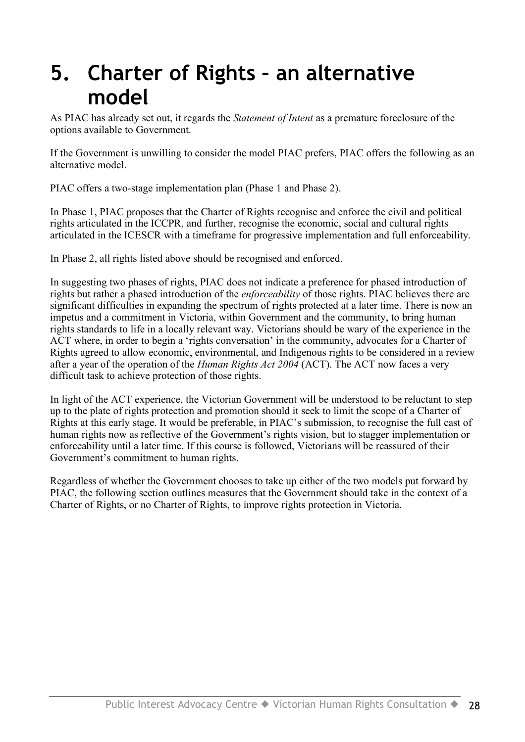## **5. Charter of Rights – an alternative model**

As PIAC has already set out, it regards the *Statement of Intent* as a premature foreclosure of the options available to Government.

If the Government is unwilling to consider the model PIAC prefers, PIAC offers the following as an alternative model.

PIAC offers a two-stage implementation plan (Phase 1 and Phase 2).

In Phase 1, PIAC proposes that the Charter of Rights recognise and enforce the civil and political rights articulated in the ICCPR, and further, recognise the economic, social and cultural rights articulated in the ICESCR with a timeframe for progressive implementation and full enforceability.

In Phase 2, all rights listed above should be recognised and enforced.

In suggesting two phases of rights, PIAC does not indicate a preference for phased introduction of rights but rather a phased introduction of the *enforceability* of those rights. PIAC believes there are significant difficulties in expanding the spectrum of rights protected at a later time. There is now an impetus and a commitment in Victoria, within Government and the community, to bring human rights standards to life in a locally relevant way. Victorians should be wary of the experience in the ACT where, in order to begin a 'rights conversation' in the community, advocates for a Charter of Rights agreed to allow economic, environmental, and Indigenous rights to be considered in a review after a year of the operation of the *Human Rights Act 2004* (ACT). The ACT now faces a very difficult task to achieve protection of those rights.

In light of the ACT experience, the Victorian Government will be understood to be reluctant to step up to the plate of rights protection and promotion should it seek to limit the scope of a Charter of Rights at this early stage. It would be preferable, in PIAC's submission, to recognise the full cast of human rights now as reflective of the Government's rights vision, but to stagger implementation or enforceability until a later time. If this course is followed, Victorians will be reassured of their Government's commitment to human rights.

Regardless of whether the Government chooses to take up either of the two models put forward by PIAC, the following section outlines measures that the Government should take in the context of a Charter of Rights, or no Charter of Rights, to improve rights protection in Victoria.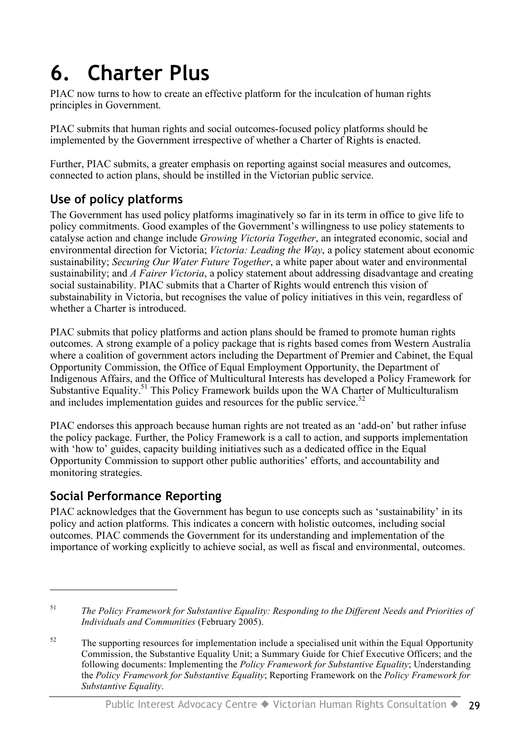# **6. Charter Plus**

PIAC now turns to how to create an effective platform for the inculcation of human rights principles in Government.

PIAC submits that human rights and social outcomes-focused policy platforms should be implemented by the Government irrespective of whether a Charter of Rights is enacted.

Further, PIAC submits, a greater emphasis on reporting against social measures and outcomes, connected to action plans, should be instilled in the Victorian public service.

## **Use of policy platforms**

The Government has used policy platforms imaginatively so far in its term in office to give life to policy commitments. Good examples of the Government's willingness to use policy statements to catalyse action and change include *Growing Victoria Together*, an integrated economic, social and environmental direction for Victoria; *Victoria: Leading the Way*, a policy statement about economic sustainability; *Securing Our Water Future Together*, a white paper about water and environmental sustainability; and *A Fairer Victoria*, a policy statement about addressing disadvantage and creating social sustainability. PIAC submits that a Charter of Rights would entrench this vision of substainability in Victoria, but recognises the value of policy initiatives in this vein, regardless of whether a Charter is introduced.

PIAC submits that policy platforms and action plans should be framed to promote human rights outcomes. A strong example of a policy package that is rights based comes from Western Australia where a coalition of government actors including the Department of Premier and Cabinet, the Equal Opportunity Commission, the Office of Equal Employment Opportunity, the Department of Indigenous Affairs, and the Office of Multicultural Interests has developed a Policy Framework for Substantive Equality.<sup>51</sup> This Policy Framework builds upon the WA Charter of Multiculturalism and includes implementation guides and resources for the public service.<sup>52</sup>

PIAC endorses this approach because human rights are not treated as an 'add-on' but rather infuse the policy package. Further, the Policy Framework is a call to action, and supports implementation with 'how to' guides, capacity building initiatives such as a dedicated office in the Equal Opportunity Commission to support other public authorities' efforts, and accountability and monitoring strategies.

### **Social Performance Reporting**

 $\overline{a}$ 

PIAC acknowledges that the Government has begun to use concepts such as 'sustainability' in its policy and action platforms. This indicates a concern with holistic outcomes, including social outcomes. PIAC commends the Government for its understanding and implementation of the importance of working explicitly to achieve social, as well as fiscal and environmental, outcomes.

<sup>51</sup> *The Policy Framework for Substantive Equality: Responding to the Different Needs and Priorities of Individuals and Communities* (February 2005).

 $52$  The supporting resources for implementation include a specialised unit within the Equal Opportunity Commission, the Substantive Equality Unit; a Summary Guide for Chief Executive Officers; and the following documents: Implementing the *Policy Framework for Substantive Equality*; Understanding the *Policy Framework for Substantive Equality*; Reporting Framework on the *Policy Framework for Substantive Equality*.